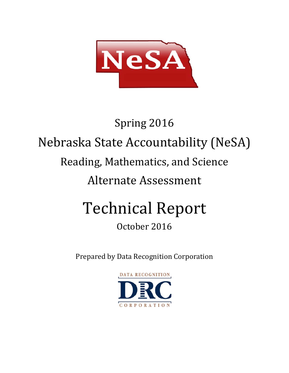

# Spring 2016 Nebraska State Accountability (NeSA) Reading, Mathematics, and Science Alternate Assessment Technical Report

# October 2016

Prepared by Data Recognition Corporation

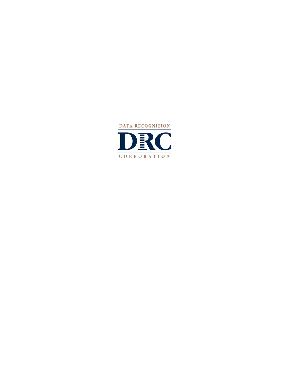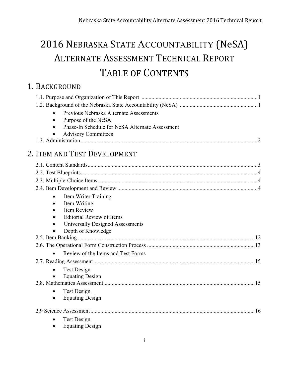# 2016 NEBRASKA STATE ACCOUNTABILITY (NeSA) ALTERNATE ASSESSMENT TECHNICAL REPORT TABLE OF CONTENTS

### 1. BACKGROUND

| Previous Nebraska Alternate Assessments         |  |
|-------------------------------------------------|--|
| Purpose of the NeSA                             |  |
| Phase-In Schedule for NeSA Alternate Assessment |  |
| <b>Advisory Committees</b>                      |  |
|                                                 |  |
| 2. ITEM AND TEST DEVELOPMENT                    |  |
|                                                 |  |
|                                                 |  |
|                                                 |  |
|                                                 |  |
| Item Writer Training<br>$\bullet$               |  |
| Item Writing<br>$\bullet$                       |  |
| Item Review                                     |  |
| <b>Editorial Review of Items</b>                |  |
| Universally Designed Assessments                |  |
| Depth of Knowledge                              |  |
|                                                 |  |
|                                                 |  |
| Review of the Items and Test Forms<br>$\bullet$ |  |
|                                                 |  |
| <b>Test Design</b>                              |  |
| <b>Equating Design</b>                          |  |
|                                                 |  |
| <b>Test Design</b><br>$\bullet$                 |  |
| <b>Equating Design</b><br>$\bullet$             |  |
|                                                 |  |
| <b>Test Design</b>                              |  |
| <b>Equating Design</b>                          |  |
|                                                 |  |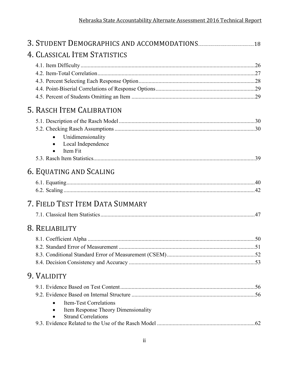| 4. CLASSICAL ITEM STATISTICS        |  |
|-------------------------------------|--|
|                                     |  |
|                                     |  |
|                                     |  |
|                                     |  |
|                                     |  |
| 5. RASCH ITEM CALIBRATION           |  |
|                                     |  |
|                                     |  |
| Unidimensionality                   |  |
| Local Independence                  |  |
| Item Fit                            |  |
|                                     |  |
| 6. EQUATING AND SCALING             |  |
|                                     |  |
|                                     |  |
| 7. FIELD TEST ITEM DATA SUMMARY     |  |
|                                     |  |
|                                     |  |
| 8. RELIABILITY                      |  |
|                                     |  |
|                                     |  |
|                                     |  |
|                                     |  |
| 9. VALIDITY                         |  |
|                                     |  |
|                                     |  |
| <b>Item-Test Correlations</b>       |  |
| Item Response Theory Dimensionality |  |
| <b>Strand Correlations</b>          |  |
|                                     |  |
|                                     |  |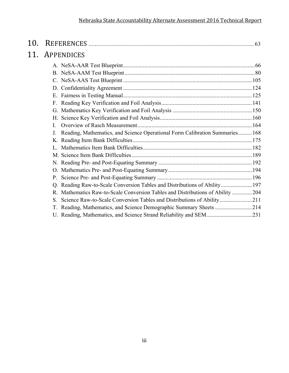| 10. |                                                                                          |  |
|-----|------------------------------------------------------------------------------------------|--|
| 11. | APPENDICES                                                                               |  |
|     |                                                                                          |  |
|     |                                                                                          |  |
|     |                                                                                          |  |
|     |                                                                                          |  |
|     |                                                                                          |  |
|     |                                                                                          |  |
|     |                                                                                          |  |
|     |                                                                                          |  |
|     |                                                                                          |  |
|     | Reading, Mathematics, and Science Operational Form Calibration Summaries 168<br>$\bf{J}$ |  |
|     |                                                                                          |  |
|     |                                                                                          |  |
|     |                                                                                          |  |
|     |                                                                                          |  |
|     |                                                                                          |  |
|     |                                                                                          |  |
|     | Q. Reading Raw-to-Scale Conversion Tables and Distributions of Ability 197               |  |
|     | R. Mathematics Raw-to-Scale Conversion Tables and Distributions of Ability 204           |  |
|     | Science Raw-to-Scale Conversion Tables and Distributions of Ability211<br>S.             |  |
|     | Reading, Mathematics, and Science Demographic Summary Sheets 214<br>T.                   |  |
|     |                                                                                          |  |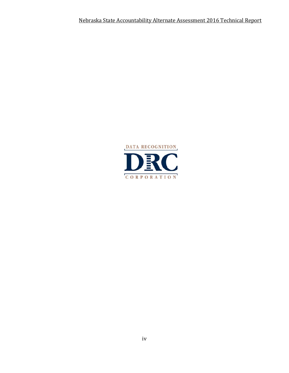Nebraska State Accountability Alternate Assessment 2016 Technical Report

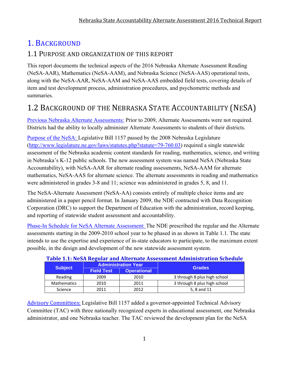### 1. BACKGROUND

### 1.1 PURPOSE AND ORGANIZATION OF THIS REPORT

This report documents the technical aspects of the 2016 Nebraska Alternate Assessment Reading (NeSA-AAR), Mathematics (NeSA-AAM), and Nebraska Science (NeSA-AAS) operational tests, along with the NeSA-AAR, NeSA-AAM and NeSA-AAS embedded field tests, covering details of item and test development process, administration procedures, and psychometric methods and summaries.

### 1.2 BACKGROUND OF THE NEBRASKA STATE ACCOUNTABILITY (NESA)

Previous Nebraska Alternate Assessments: Prior to 2009, Alternate Assessments were not required. Districts had the ability to locally administer Alternate Assessments to students of their districts.

Purpose of the NeSA: Legislative Bill 1157 passed by the 2008 Nebraska Legislature (http://www.legislature.ne.gov/laws/statutes.php?statute=79-760.03) required a single statewide assessment of the Nebraska academic content standards for reading, mathematics, science, and writing in Nebraska's K-12 public schools. The new assessment system was named NeSA (Nebraska State Accountability), with NeSA-AAR for alternate reading assessments, NeSA-AAM for alternate mathematics, NeSA-AAS for alternate science. The alternate assessments in reading and mathematics were administered in grades 3-8 and 11; science was administered in grades 5, 8, and 11.

The NeSA-Alternate Assessment (NeSA-AA) consists entirely of multiple choice items and are administered in a paper pencil format. In January 2009, the NDE contracted with Data Recognition Corporation (DRC) to support the Department of Education with the administration, record keeping, and reporting of statewide student assessment and accountability.

Phase-In Schedule for NeSA Alternate Assessment: The NDE prescribed the regular and the Alternate assessments starting in the 2009-2010 school year to be phased in as shown in Table 1.1. The state intends to use the expertise and experience of in-state educators to participate, to the maximum extent possible, in the design and development of the new statewide assessment system.

| Table 1.1. Nesh Regular and Alternate Assessment Administration schedule |                   |                            |                              |  |  |  |  |  |
|--------------------------------------------------------------------------|-------------------|----------------------------|------------------------------|--|--|--|--|--|
| <b>Subject</b>                                                           |                   | <b>Administration Year</b> | <b>Grades</b>                |  |  |  |  |  |
|                                                                          | <b>Field Test</b> | <b>Operational</b>         |                              |  |  |  |  |  |
| Reading                                                                  | 2009              | 2010                       | 3 through 8 plus high school |  |  |  |  |  |
| <b>Mathematics</b>                                                       | 2010              | 2011                       | 3 through 8 plus high school |  |  |  |  |  |
| Science                                                                  | 2011              | 2012                       | 5, 8 and 11                  |  |  |  |  |  |

### **Table 1.1: NeSA Regular and Alternate Assessment Administration Schedule**

Advisory Committees: Legislative Bill 1157 added a governor-appointed Technical Advisory Committee (TAC) with three nationally recognized experts in educational assessment, one Nebraska administrator, and one Nebraska teacher. The TAC reviewed the development plan for the NeSA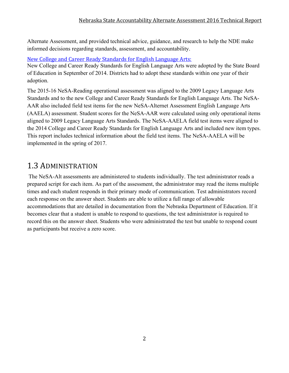Alternate Assessment, and provided technical advice, guidance, and research to help the NDE make informed decisions regarding standards, assessment, and accountability.

### New College and Career Ready Standards for English Language Arts:

New College and Career Ready Standards for English Language Arts were adopted by the State Board of Education in September of 2014. Districts had to adopt these standards within one year of their adoption.

The 2015-16 NeSA-Reading operational assessment was aligned to the 2009 Legacy Language Arts Standards and to the new College and Career Ready Standards for English Language Arts. The NeSA-AAR also included field test items for the new NeSA-Alternet Assessment English Language Arts (AAELA) assessment. Student scores for the NeSA-AAR were calculated using only operational items aligned to 2009 Legacy Language Arts Standards. The NeSA-AAELA field test items were aligned to the 2014 College and Career Ready Standards for English Language Arts and included new item types. This report includes technical information about the field test items. The NeSA-AAELA will be implemented in the spring of 2017.

### 1.3 ADMINISTRATION

 The NeSA-Alt assessments are administered to students individually. The test administrator reads a prepared script for each item. As part of the assessment, the administrator may read the items multiple times and each student responds in their primary mode of communication. Test administrators record each response on the answer sheet. Students are able to utilize a full range of allowable accommodations that are detailed in documentation from the Nebraska Department of Education. If it becomes clear that a student is unable to respond to questions, the test administrator is required to record this on the answer sheet. Students who were administrated the test but unable to respond count as participants but receive a zero score.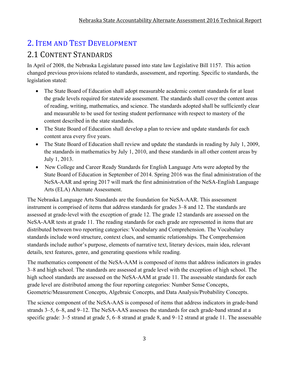### 2. ITEM AND TEST DEVELOPMENT

### 2.1 CONTENT STANDARDS

In April of 2008, the Nebraska Legislature passed into state law Legislative Bill 1157. This action changed previous provisions related to standards, assessment, and reporting. Specific to standards, the legislation stated:

- The State Board of Education shall adopt measurable academic content standards for at least the grade levels required for statewide assessment. The standards shall cover the content areas of reading, writing, mathematics, and science. The standards adopted shall be sufficiently clear and measurable to be used for testing student performance with respect to mastery of the content described in the state standards.
- The State Board of Education shall develop a plan to review and update standards for each content area every five years.
- The State Board of Education shall review and update the standards in reading by July 1, 2009, the standards in mathematics by July 1, 2010, and these standards in all other content areas by July 1, 2013.
- New College and Career Ready Standards for English Language Arts were adopted by the State Board of Education in September of 2014. Spring 2016 was the final administration of the NeSA-AAR and spring 2017 will mark the first administration of the NeSA-English Language Arts (ELA) Alternate Assessment.

The Nebraska Language Arts Standards are the foundation for NeSA-AAR. This assessment instrument is comprised of items that address standards for grades 3–8 and 12. The standards are assessed at grade-level with the exception of grade 12. The grade 12 standards are assessed on the NeSA-AAR tests at grade 11. The reading standards for each grade are represented in items that are distributed between two reporting categories: Vocabulary and Comprehension. The Vocabulary standards include word structure, context clues, and semantic relationships. The Comprehension standards include author's purpose, elements of narrative text, literary devices, main idea, relevant details, text features, genre, and generating questions while reading.

The mathematics component of the NeSA-AAM is composed of items that address indicators in grades 3–8 and high school. The standards are assessed at grade level with the exception of high school. The high school standards are assessed on the NeSA-AAM at grade 11. The assessable standards for each grade level are distributed among the four reporting categories: Number Sense Concepts, Geometric/Measurement Concepts, Algebraic Concepts, and Data Analysis/Probability Concepts.

The science component of the NeSA-AAS is composed of items that address indicators in grade-band strands 3–5, 6–8, and 9–12. The NeSA-AAS assesses the standards for each grade-band strand at a specific grade: 3–5 strand at grade 5, 6–8 strand at grade 8, and 9–12 strand at grade 11. The assessable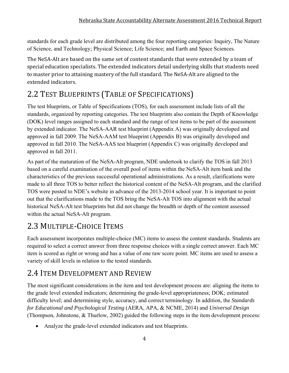standards for each grade level are distributed among the four reporting categories: Inquiry, The Nature of Science, and Technology; Physical Science; Life Science; and Earth and Space Sciences.

The NeSA-Alt are based on the same set of content standards that were extended by a team of special education specialists. The extended indicators detail underlying skills that students need to master prior to attaining mastery of the full standard. The NeSA-Alt are aligned to the extended indicators.

### 2.2 TEST BLUEPRINTS (TABLE OF SPECIFICATIONS)

The test blueprints, or Table of Specifications (TOS), for each assessment include lists of all the standards, organized by reporting categories. The test blueprints also contain the Depth of Knowledge (DOK) level ranges assigned to each standard and the range of test items to be part of the assessment by extended indicator. The NeSA-AAR test blueprint (Appendix A) was originally developed and approved in fall 2009. The NeSA-AAM test blueprint (Appendix B) was originally developed and approved in fall 2010. The NeSA-AAS test blueprint (Appendix C) was originally developed and approved in fall 2011.

As part of the maturation of the NeSA-Alt program, NDE undertook to clarify the TOS in fall 2013 based on a careful examination of the overall pool of items within the NeSA-Alt item bank and the characteristics of the previous successful operational administrations. As a result, clarifications were made to all three TOS to better reflect the historical content of the NeSA-Alt program, and the clarified TOS were posted to NDE's website in advance of the 2013-2014 school year. It is important to point out that the clarifications made to the TOS bring the NeSA-Alt TOS into alignment with the actual historical NeSA-Alt test blueprints but did not change the breadth or depth of the content assessed within the actual NeSA-Alt program.

### 2.3 MULTIPLE-CHOICE ITEMS

Each assessment incorporates multiple-choice (MC) items to assess the content standards. Students are required to select a correct answer from three response choices with a single correct answer. Each MC item is scored as right or wrong and has a value of one raw score point. MC items are used to assess a variety of skill levels in relation to the tested standards.

### 2.4 ITEM DEVELOPMENT AND REVIEW

The most significant considerations in the item and test development process are: aligning the items to the grade level extended indicators; determining the grade-level appropriateness; DOK; estimated difficulty level; and determining style, accuracy, and correct terminology. In addition, the *Standards for Educational and Psychological Testing* (AERA, APA, & NCME, 2014) and *Universal Design* (Thompson, Johnstone, & Thurlow, 2002) guided the following steps in the item development process:

Analyze the grade-level extended indicators and test blueprints.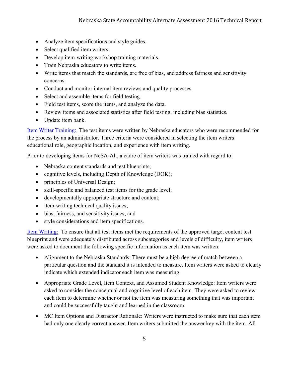- Analyze item specifications and style guides.
- Select qualified item writers.
- Develop item-writing workshop training materials.
- Train Nebraska educators to write items.
- Write items that match the standards, are free of bias, and address fairness and sensitivity concerns.
- Conduct and monitor internal item reviews and quality processes.
- Select and assemble items for field testing.
- Field test items, score the items, and analyze the data.
- Review items and associated statistics after field testing, including bias statistics.
- Update item bank.

Item Writer Training: The test items were written by Nebraska educators who were recommended for the process by an administrator. Three criteria were considered in selecting the item writers: educational role, geographic location, and experience with item writing.

Prior to developing items for NeSA-Alt, a cadre of item writers was trained with regard to:

- Nebraska content standards and test blueprints;
- cognitive levels, including Depth of Knowledge (DOK);
- principles of Universal Design;
- skill-specific and balanced test items for the grade level;
- developmentally appropriate structure and content;
- item-writing technical quality issues;
- bias, fairness, and sensitivity issues; and
- style considerations and item specifications.

Item Writing: To ensure that all test items met the requirements of the approved target content test blueprint and were adequately distributed across subcategories and levels of difficulty, item writers were asked to document the following specific information as each item was written:

- Alignment to the Nebraska Standards: There must be a high degree of match between a particular question and the standard it is intended to measure. Item writers were asked to clearly indicate which extended indicator each item was measuring.
- Appropriate Grade Level, Item Context, and Assumed Student Knowledge: Item writers were asked to consider the conceptual and cognitive level of each item. They were asked to review each item to determine whether or not the item was measuring something that was important and could be successfully taught and learned in the classroom.
- MC Item Options and Distractor Rationale: Writers were instructed to make sure that each item had only one clearly correct answer. Item writers submitted the answer key with the item. All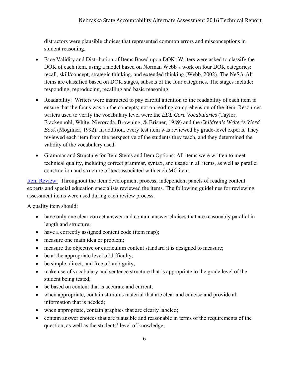distractors were plausible choices that represented common errors and misconceptions in student reasoning.

- Face Validity and Distribution of Items Based upon DOK: Writers were asked to classify the DOK of each item, using a model based on Norman Webb's work on four DOK categories: recall, skill/concept, strategic thinking, and extended thinking (Webb, 2002). The NeSA-Alt items are classified based on DOK stages, subsets of the four categories. The stages include: responding, reproducing, recalling and basic reasoning.
- Readability: Writers were instructed to pay careful attention to the readability of each item to ensure that the focus was on the concepts; not on reading comprehension of the item. Resources writers used to verify the vocabulary level were the *EDL Core Vocabularies* (Taylor, Frackenpohl, White, Nieroroda, Browning, & Brisner, 1989) and the *Children's Writer's Word Book* (Mogilner, 1992). In addition, every test item was reviewed by grade-level experts. They reviewed each item from the perspective of the students they teach, and they determined the validity of the vocabulary used.
- Grammar and Structure for Item Stems and Item Options: All items were written to meet technical quality, including correct grammar, syntax, and usage in all items, as well as parallel construction and structure of text associated with each MC item.

Item Review: Throughout the item development process, independent panels of reading content experts and special education specialists reviewed the items. The following guidelines for reviewing assessment items were used during each review process.

A quality item should:

- have only one clear correct answer and contain answer choices that are reasonably parallel in length and structure;
- have a correctly assigned content code (item map);
- measure one main idea or problem;
- measure the objective or curriculum content standard it is designed to measure;
- be at the appropriate level of difficulty;
- be simple, direct, and free of ambiguity;
- make use of vocabulary and sentence structure that is appropriate to the grade level of the student being tested;
- be based on content that is accurate and current;
- when appropriate, contain stimulus material that are clear and concise and provide all information that is needed;
- when appropriate, contain graphics that are clearly labeled;
- contain answer choices that are plausible and reasonable in terms of the requirements of the question, as well as the students' level of knowledge;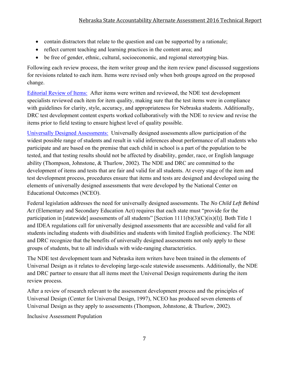- contain distractors that relate to the question and can be supported by a rationale;
- reflect current teaching and learning practices in the content area; and
- be free of gender, ethnic, cultural, socioeconomic, and regional stereotyping bias.

Following each review process, the item writer group and the item review panel discussed suggestions for revisions related to each item. Items were revised only when both groups agreed on the proposed change.

Editorial Review of Items: After items were written and reviewed, the NDE test development specialists reviewed each item for item quality, making sure that the test items were in compliance with guidelines for clarity, style, accuracy, and appropriateness for Nebraska students. Additionally, DRC test development content experts worked collaboratively with the NDE to review and revise the items prior to field testing to ensure highest level of quality possible.

Universally Designed Assessments: Universally designed assessments allow participation of the widest possible range of students and result in valid inferences about performance of all students who participate and are based on the premise that each child in school is a part of the population to be tested, and that testing results should not be affected by disability, gender, race, or English language ability (Thompson, Johnstone, & Thurlow, 2002). The NDE and DRC are committed to the development of items and tests that are fair and valid for all students. At every stage of the item and test development process, procedures ensure that items and tests are designed and developed using the elements of universally designed assessments that were developed by the National Center on Educational Outcomes (NCEO).

Federal legislation addresses the need for universally designed assessments. The *No Child Left Behind Act* (Elementary and Secondary Education Act) requires that each state must "provide for the participation in [statewide] assessments of all students" [Section 1111(b)(3)(C)(ix)(l)]. Both Title 1 and IDEA regulations call for universally designed assessments that are accessible and valid for all students including students with disabilities and students with limited English proficiency. The NDE and DRC recognize that the benefits of universally designed assessments not only apply to these groups of students, but to all individuals with wide-ranging characteristics.

The NDE test development team and Nebraska item writers have been trained in the elements of Universal Design as it relates to developing large-scale statewide assessments. Additionally, the NDE and DRC partner to ensure that all items meet the Universal Design requirements during the item review process.

After a review of research relevant to the assessment development process and the principles of Universal Design (Center for Universal Design, 1997), NCEO has produced seven elements of Universal Design as they apply to assessments (Thompson, Johnstone, & Thurlow, 2002).

Inclusive Assessment Population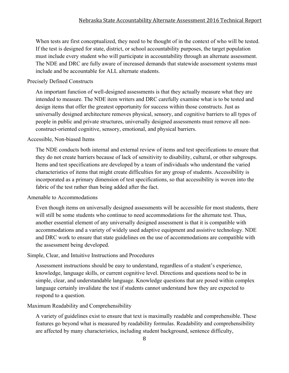When tests are first conceptualized, they need to be thought of in the context of who will be tested. If the test is designed for state, district, or school accountability purposes, the target population must include every student who will participate in accountability through an alternate assessment. The NDE and DRC are fully aware of increased demands that statewide assessment systems must include and be accountable for ALL alternate students.

#### Precisely Defined Constructs

An important function of well-designed assessments is that they actually measure what they are intended to measure. The NDE item writers and DRC carefully examine what is to be tested and design items that offer the greatest opportunity for success within those constructs. Just as universally designed architecture removes physical, sensory, and cognitive barriers to all types of people in public and private structures, universally designed assessments must remove all nonconstruct-oriented cognitive, sensory, emotional, and physical barriers.

#### Accessible, Non-biased Items

The NDE conducts both internal and external review of items and test specifications to ensure that they do not create barriers because of lack of sensitivity to disability, cultural, or other subgroups. Items and test specifications are developed by a team of individuals who understand the varied characteristics of items that might create difficulties for any group of students. Accessibility is incorporated as a primary dimension of test specifications, so that accessibility is woven into the fabric of the test rather than being added after the fact.

#### Amenable to Accommodations

Even though items on universally designed assessments will be accessible for most students, there will still be some students who continue to need accommodations for the alternate test. Thus, another essential element of any universally designed assessment is that it is compatible with accommodations and a variety of widely used adaptive equipment and assistive technology. NDE and DRC work to ensure that state guidelines on the use of accommodations are compatible with the assessment being developed.

#### Simple, Clear, and Intuitive Instructions and Procedures

Assessment instructions should be easy to understand, regardless of a student's experience, knowledge, language skills, or current cognitive level. Directions and questions need to be in simple, clear, and understandable language. Knowledge questions that are posed within complex language certainly invalidate the test if students cannot understand how they are expected to respond to a question.

#### Maximum Readability and Comprehensibility

A variety of guidelines exist to ensure that text is maximally readable and comprehensible. These features go beyond what is measured by readability formulas. Readability and comprehensibility are affected by many characteristics, including student background, sentence difficulty,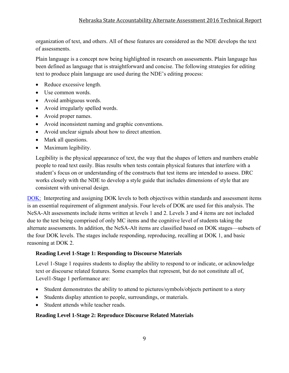organization of text, and others. All of these features are considered as the NDE develops the text of assessments.

Plain language is a concept now being highlighted in research on assessments. Plain language has been defined as language that is straightforward and concise. The following strategies for editing text to produce plain language are used during the NDE's editing process:

- Reduce excessive length.
- Use common words.
- Avoid ambiguous words.
- Avoid irregularly spelled words.
- Avoid proper names.
- Avoid inconsistent naming and graphic conventions.
- Avoid unclear signals about how to direct attention.
- Mark all questions.
- Maximum legibility.

Legibility is the physical appearance of text, the way that the shapes of letters and numbers enable people to read text easily. Bias results when tests contain physical features that interfere with a student's focus on or understanding of the constructs that test items are intended to assess. DRC works closely with the NDE to develop a style guide that includes dimensions of style that are consistent with universal design.

DOK: Interpreting and assigning DOK levels to both objectives within standards and assessment items is an essential requirement of alignment analysis. Four levels of DOK are used for this analysis. The NeSA-Alt assessments include items written at levels 1 and 2. Levels 3 and 4 items are not included due to the test being comprised of only MC items and the cognitive level of students taking the alternate assessments. In addition, the NeSA-Alt items are classified based on DOK stages—subsets of the four DOK levels. The stages include responding, reproducing, recalling at DOK 1, and basic reasoning at DOK 2.

#### **Reading Level 1-Stage 1: Responding to Discourse Materials**

Level 1-Stage 1 requires students to display the ability to respond to or indicate, or acknowledge text or discourse related features. Some examples that represent, but do not constitute all of, Level1-Stage 1 performance are:

- Student demonstrates the ability to attend to pictures/symbols/objects pertinent to a story
- Students display attention to people, surroundings, or materials.
- Student attends while teacher reads.

#### **Reading Level 1-Stage 2: Reproduce Discourse Related Materials**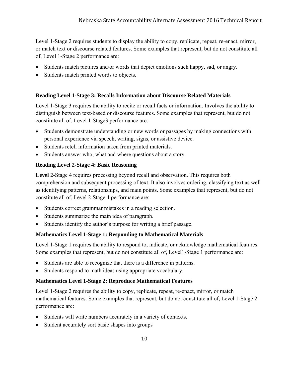Level 1-Stage 2 requires students to display the ability to copy, replicate, repeat, re-enact, mirror, or match text or discourse related features. Some examples that represent, but do not constitute all of, Level 1-Stage 2 performance are:

- Students match pictures and/or words that depict emotions such happy, sad, or angry.
- Students match printed words to objects.

### **Reading Level 1-Stage 3: Recalls Information about Discourse Related Materials**

Level 1-Stage 3 requires the ability to recite or recall facts or information. Involves the ability to distinguish between text-based or discourse features. Some examples that represent, but do not constitute all of, Level 1-Stage3 performance are:

- Students demonstrate understanding or new words or passages by making connections with personal experience via speech, writing, signs, or assistive device.
- Students retell information taken from printed materials.
- Students answer who, what and where questions about a story.

### **Reading Level 2-Stage 4: Basic Reasoning**

**Level** 2-Stage 4 requires processing beyond recall and observation. This requires both comprehension and subsequent processing of text. It also involves ordering, classifying text as well as identifying patterns, relationships, and main points. Some examples that represent, but do not constitute all of, Level 2-Stage 4 performance are:

- Students correct grammar mistakes in a reading selection.
- Students summarize the main idea of paragraph.
- Students identify the author's purpose for writing a brief passage.

### **Mathematics Level 1-Stage 1: Responding to Mathematical Materials**

Level 1-Stage 1 requires the ability to respond to, indicate, or acknowledge mathematical features. Some examples that represent, but do not constitute all of, Level1-Stage 1 performance are:

- Students are able to recognize that there is a difference in patterns.
- Students respond to math ideas using appropriate vocabulary.

#### **Mathematics Level 1-Stage 2: Reproduce Mathematical Features**

Level 1-Stage 2 requires the ability to copy, replicate, repeat, re-enact, mirror, or match mathematical features. Some examples that represent, but do not constitute all of, Level 1-Stage 2 performance are:

- Students will write numbers accurately in a variety of contexts.
- Student accurately sort basic shapes into groups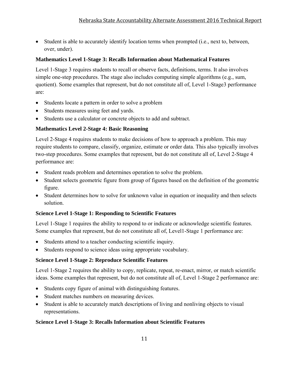Student is able to accurately identify location terms when prompted (i.e., next to, between, over, under).

### **Mathematics Level 1-Stage 3: Recalls Information about Mathematical Features**

Level 1-Stage 3 requires students to recall or observe facts, definitions, terms. It also involves simple one-step procedures. The stage also includes computing simple algorithms (e.g., sum, quotient). Some examples that represent, but do not constitute all of, Level 1-Stage3 performance are:

- Students locate a pattern in order to solve a problem
- Students measures using feet and yards.
- Students use a calculator or concrete objects to add and subtract.

### **Mathematics Level 2-Stage 4: Basic Reasoning**

Level 2-Stage 4 requires students to make decisions of how to approach a problem. This may require students to compare, classify, organize, estimate or order data. This also typically involves two-step procedures. Some examples that represent, but do not constitute all of, Level 2-Stage 4 performance are:

- Student reads problem and determines operation to solve the problem.
- Student selects geometric figure from group of figures based on the definition of the geometric figure.
- Student determines how to solve for unknown value in equation or inequality and then selects solution.

### **Science Level 1-Stage 1: Responding to Scientific Features**

Level 1-Stage 1 requires the ability to respond to or indicate or acknowledge scientific features. Some examples that represent, but do not constitute all of, Level1-Stage 1 performance are:

- Students attend to a teacher conducting scientific inquiry.
- Students respond to science ideas using appropriate vocabulary.

### **Science Level 1-Stage 2: Reproduce Scientific Features**

Level 1-Stage 2 requires the ability to copy, replicate, repeat, re-enact, mirror, or match scientific ideas. Some examples that represent, but do not constitute all of, Level 1-Stage 2 performance are:

- Students copy figure of animal with distinguishing features.
- Student matches numbers on measuring devices.
- Student is able to accurately match descriptions of living and nonliving objects to visual representations.

### **Science Level 1-Stage 3: Recalls Information about Scientific Features**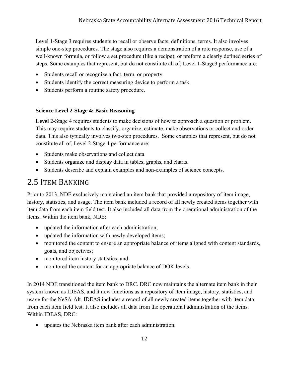Level 1-Stage 3 requires students to recall or observe facts, definitions, terms. It also involves simple one-step procedures. The stage also requires a demonstration of a rote response, use of a well-known formula, or follow a set procedure (like a recipe), or preform a clearly defined series of steps. Some examples that represent, but do not constitute all of, Level 1-Stage3 performance are:

- Students recall or recognize a fact, term, or property.
- Students identify the correct measuring device to perform a task.
- Students perform a routine safety procedure.

### **Science Level 2-Stage 4: Basic Reasoning**

**Level** 2-Stage 4 requires students to make decisions of how to approach a question or problem. This may require students to classify, organize, estimate, make observations or collect and order data. This also typically involves two-step procedures. Some examples that represent, but do not constitute all of, Level 2-Stage 4 performance are:

- Students make observations and collect data.
- Students organize and display data in tables, graphs, and charts.
- Students describe and explain examples and non-examples of science concepts.

### 2.5 ITEM BANKING

Prior to 2013, NDE exclusively maintained an item bank that provided a repository of item image, history, statistics, and usage. The item bank included a record of all newly created items together with item data from each item field test. It also included all data from the operational administration of the items. Within the item bank, NDE:

- updated the information after each administration;
- updated the information with newly developed items;
- monitored the content to ensure an appropriate balance of items aligned with content standards, goals, and objectives;
- monitored item history statistics; and
- monitored the content for an appropriate balance of DOK levels.

In 2014 NDE transitioned the item bank to DRC. DRC now maintains the alternate item bank in their system known as IDEAS, and it now functions as a repository of item image, history, statistics, and usage for the NeSA-Alt. IDEAS includes a record of all newly created items together with item data from each item field test. It also includes all data from the operational administration of the items. Within IDEAS, DRC:

updates the Nebraska item bank after each administration;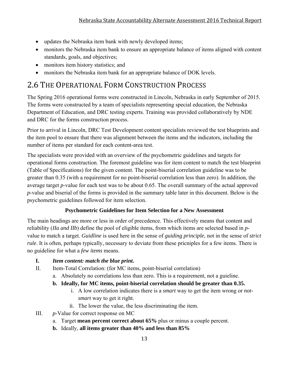- updates the Nebraska item bank with newly developed items;
- monitors the Nebraska item bank to ensure an appropriate balance of items aligned with content standards, goals, and objectives;
- monitors item history statistics; and
- monitors the Nebraska item bank for an appropriate balance of DOK levels.

### 2.6 THE OPERATIONAL FORM CONSTRUCTION PROCESS

The Spring 2016 operational forms were constructed in Lincoln, Nebraska in early September of 2015. The forms were constructed by a team of specialists representing special education, the Nebraska Department of Education, and DRC testing experts. Training was provided collaboratively by NDE and DRC for the forms construction process.

Prior to arrival in Lincoln, DRC Test Development content specialists reviewed the test blueprints and the item pool to ensure that there was alignment between the items and the indicators, including the number of items per standard for each content-area test.

The specialists were provided with an overview of the psychometric guidelines and targets for operational forms construction. The foremost guideline was for item content to match the test blueprint (Table of Specifications) for the given content. The point-biserial correlation guideline was to be greater than 0.35 (with a requirement for no point-biserial correlation less than zero). In addition, the average target *p*-value for each test was to be about 0.65. The overall summary of the actual approved *p*-value and biserial of the forms is provided in the summary table later in this document. Below is the psychometric guidelines followed for item selection.

### **Psychometric Guidelines for Item Selection for a New Assessment**

The main headings are more or less in order of precedence. This effectively means that content and reliability (*IIa and IIb*) define the pool of eligible items, from which items are selected based in *p*value to match a target. *Guidline* is used here in the sense of *guiding principle*, not in the sense of *strict rule*. It is often, perhaps typically, necessary to deviate from these pricniples for a few items. There is no guideline for what a *few items* means.

### **I.** *Item content: match the blue print***.**

- II. Item-Total Correlation: (for MC items, point-biserial correlation)
	- a. Absolutely no correlations less than zero. This is a requirement, not a guieline.

### **b. Ideally, for MC items, point-biserial correlation should be greater than 0.35.**

- i. A low correlation indicates there is a *smart* way to get the item wrong or *notsmart* way to get it right.
- ii. The lower the value, the less discriminating the item.
- III. *p*-Value for correct response on MC
	- a. Target **mean percent correct about 65%** plus or minus a couple percent.
	- **b.** Ideally, **all items greater than 40% and less than 85%**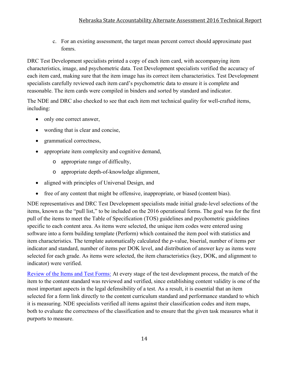c. For an existing assessment, the target mean percent correct should approximate past fomrs.

DRC Test Development specialists printed a copy of each item card, with accompanying item characteristics, image, and psychometric data. Test Development specialists verified the accuracy of each item card, making sure that the item image has its correct item characteristics. Test Development specialists carefully reviewed each item card's psychometric data to ensure it is complete and reasonable. The item cards were compiled in binders and sorted by standard and indicator.

The NDE and DRC also checked to see that each item met technical quality for well-crafted items, including:

- only one correct answer,
- wording that is clear and concise,
- grammatical correctness,
- appropriate item complexity and cognitive demand,
	- o appropriate range of difficulty,
	- o appropriate depth-of-knowledge alignment,
- aligned with principles of Universal Design, and
- free of any content that might be offensive, inappropriate, or biased (content bias).

NDE representatives and DRC Test Development specialists made initial grade-level selections of the items, known as the "pull list," to be included on the 2016 operational forms. The goal was for the first pull of the items to meet the Table of Specification (TOS) guidelines and psychometric guidelines specific to each content area. As items were selected, the unique item codes were entered using software into a form building template (Perform) which contained the item pool with statistics and item characteristics. The template automatically calculated the *p*-value, biserial, number of items per indicator and standard, number of items per DOK level, and distribution of answer key as items were selected for each grade. As items were selected, the item characteristics (key, DOK, and alignment to indicator) were verified.

Review of the Items and Test Forms: At every stage of the test development process, the match of the item to the content standard was reviewed and verified, since establishing content validity is one of the most important aspects in the legal defensibility of a test. As a result, it is essential that an item selected for a form link directly to the content curriculum standard and performance standard to which it is measuring. NDE specialists verified all items against their classification codes and item maps, both to evaluate the correctness of the classification and to ensure that the given task measures what it purports to measure.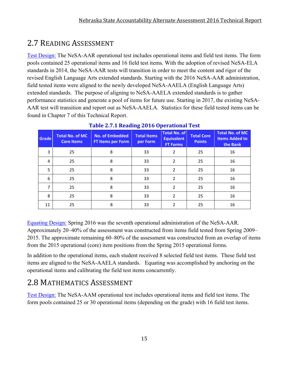### 2.7 READING ASSESSMENT

Test Design: The NeSA-AAR operational test includes operational items and field test items. The form pools contained 25 operational items and 16 field test items. With the adoption of revised NeSA-ELA standards in 2014, the NeSA-AAR tests will transition in order to meet the content and rigor of the revised English Language Arts extended standards. Starting with the 2016 NeSA-AAR administration, field tested items were aligned to the newly developed NeSA-AAELA (English Language Arts) extended standards. The purpose of aligning to NeSA-AAELA extended standards is to gather performance statistics and generate a pool of items for future use. Starting in 2017, the existing NeSA-AAR test will transition and report out as NeSA-AAELA. Statistics for these field tested items can be found in Chapter 7 of this Technical Report.

| <b>Grade</b> | <b>Total No. of MC</b><br><b>Core Items</b> | <b>No. of Embedded</b><br><b>FT Items per Form</b> | <b>Total Items</b><br>per Form | <b>Total No. of</b><br><b>Equivalent</b><br><b>FT Forms</b> | <b>Total Core</b><br><b>Points</b> | <b>Total No. of MC</b><br><b>Items Added to</b><br>the Bank |
|--------------|---------------------------------------------|----------------------------------------------------|--------------------------------|-------------------------------------------------------------|------------------------------------|-------------------------------------------------------------|
| 3            | 25                                          | 8                                                  | 33                             | $\overline{2}$                                              | 25                                 | 16                                                          |
| 4            | 25                                          | 8                                                  | 33                             | $\overline{2}$                                              | 25                                 | 16                                                          |
| 5            | 25                                          | 8                                                  | 33                             | $\overline{2}$                                              | 25                                 | 16                                                          |
| 6            | 25                                          | 8                                                  | 33                             | $\overline{2}$                                              | 25                                 | 16                                                          |
| 7            | 25                                          | 8                                                  | 33                             | $\overline{2}$                                              | 25                                 | 16                                                          |
| 8            | 25                                          | 8                                                  | 33                             | $\overline{2}$                                              | 25                                 | 16                                                          |
| 11           | 25                                          | 8                                                  | 33                             | $\mathcal{P}$                                               | 25                                 | 16                                                          |

**Table 2.7.1 Reading 2016 Operational Test**

Equating Design: Spring 2016 was the seventh operational administration of the NeSA-AAR. Approximately 20–40% of the assessment was constructed from items field tested from Spring 2009– 2015. The approximate remaining 60–80% of the assessment was constructed from an overlap of items from the 2015 operational (core) item positions from the Spring 2015 operational forms.

In addition to the operational items, each student received 8 selected field test items. These field test items are aligned to the NeSA-AAELA standards. Equating was accomplished by anchoring on the operational items and calibrating the field test items concurrently.

### 2.8 MATHEMATICS ASSESSMENT

Test Design: The NeSA-AAM operational test includes operational items and field test items. The form pools contained 25 or 30 operational items (depending on the grade) with 16 field test items.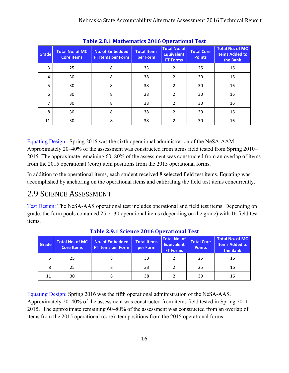| Table 2.0.1 Mathematics 2010 Operational Test |                                             |                                                    |                                |                                                             |                                    |                                                             |  |  |  |
|-----------------------------------------------|---------------------------------------------|----------------------------------------------------|--------------------------------|-------------------------------------------------------------|------------------------------------|-------------------------------------------------------------|--|--|--|
| Grade                                         | <b>Total No. of MC</b><br><b>Core Items</b> | <b>No. of Embedded</b><br><b>FT Items per Form</b> | <b>Total Items</b><br>per Form | <b>Total No. of</b><br><b>Equivalent</b><br><b>FT Forms</b> | <b>Total Core</b><br><b>Points</b> | <b>Total No. of MC</b><br><b>Items Added to</b><br>the Bank |  |  |  |
| 3                                             | 25                                          | 8                                                  | 33                             | $\overline{2}$                                              | 25                                 | 16                                                          |  |  |  |
| 4                                             | 30                                          | 8                                                  | 38                             | $\overline{2}$                                              | 30                                 | 16                                                          |  |  |  |
| 5                                             | 30                                          | 8                                                  | 38                             | 2                                                           | 30                                 | 16                                                          |  |  |  |
| 6                                             | 30                                          | 8                                                  | 38                             | $\overline{2}$                                              | 30                                 | 16                                                          |  |  |  |
| 7                                             | 30                                          | 8                                                  | 38                             | $\overline{2}$                                              | 30                                 | 16                                                          |  |  |  |
| 8                                             | 30                                          | 8                                                  | 38                             | $\overline{2}$                                              | 30                                 | 16                                                          |  |  |  |
| 11                                            | 30                                          | 8                                                  | 38                             | 2                                                           | 30                                 | 16                                                          |  |  |  |

**Table 2.8.1 Mathematics 2016 Operational Test**

Equating Design: Spring 2016 was the sixth operational administration of the NeSA-AAM. Approximately 20–40% of the assessment was constructed from items field tested from Spring 2010– 2015. The approximate remaining 60–80% of the assessment was constructed from an overlap of items from the 2015 operational (core) item positions from the 2015 operational forms.

In addition to the operational items, each student received 8 selected field test items. Equating was accomplished by anchoring on the operational items and calibrating the field test items concurrently.

### 2.9 SCIENCE ASSESSMENT

Test Design: The NeSA-AAS operational test includes operational and field test items. Depending on grade, the form pools contained 25 or 30 operational items (depending on the grade) with 16 field test items.

| Tuble 21711 belence 2010 operational rest |                                             |                                                                               |    |                                                             |                                    |                                                      |  |  |  |  |
|-------------------------------------------|---------------------------------------------|-------------------------------------------------------------------------------|----|-------------------------------------------------------------|------------------------------------|------------------------------------------------------|--|--|--|--|
| Grade                                     | <b>Total No. of MC</b><br><b>Core Items</b> | <b>Total Items</b><br>No. of Embedded<br><b>FT Items per Form</b><br>per Form |    | <b>Total No. of</b><br><b>Equivalent</b><br><b>FT Forms</b> | <b>Total Core</b><br><b>Points</b> | Total No. of MC<br><b>Items Added to</b><br>the Bank |  |  |  |  |
|                                           | 25                                          |                                                                               | 33 |                                                             | 25                                 | 16                                                   |  |  |  |  |
| 8                                         | 25                                          |                                                                               | 33 |                                                             | 25                                 | 16                                                   |  |  |  |  |
| 11                                        | 30                                          |                                                                               | 38 |                                                             | 30                                 | 16                                                   |  |  |  |  |

### **Table 2.9.1 Science 2016 Operational Test**

Equating Design: Spring 2016 was the fifth operational administration of the NeSA-AAS. Approximately 20–40% of the assessment was constructed from items field tested in Spring 2011– 2015. The approximate remaining 60–80% of the assessment was constructed from an overlap of items from the 2015 operational (core) item positions from the 2015 operational forms.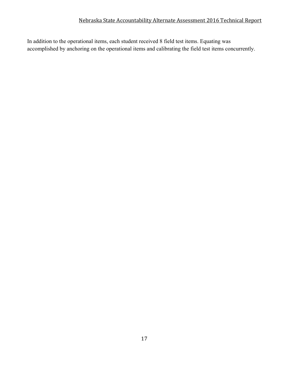In addition to the operational items, each student received 8 field test items. Equating was accomplished by anchoring on the operational items and calibrating the field test items concurrently.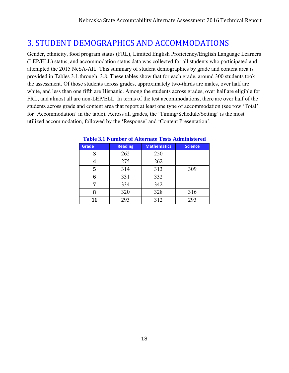### 3. STUDENT DEMOGRAPHICS AND ACCOMMODATIONS

Gender, ethnicity, food program status (FRL), Limited English Proficiency/English Language Learners (LEP/ELL) status, and accommodation status data was collected for all students who participated and attempted the 2015 NeSA-Alt. This summary of student demographics by grade and content area is provided in Tables 3.1.through 3.8. These tables show that for each grade, around 300 students took the assessment. Of those students across grades, approximately two-thirds are males, over half are white, and less than one fifth are Hispanic. Among the students across grades, over half are eligible for FRL, and almost all are non-LEP/ELL. In terms of the test accommodations, there are over half of the students across grade and content area that report at least one type of accommodation (see row 'Total' for 'Accommodation' in the table). Across all grades, the 'Timing/Schedule/Setting' is the most utilized accommodation, followed by the 'Response' and 'Content Presentation'.

| Grade | <b>Reading</b> | <b>Mathematics</b> | <b>Science</b> |
|-------|----------------|--------------------|----------------|
| 3     | 262            | 250                |                |
|       | 275            | 262                |                |
| 5     | 314            | 313                | 309            |
| 6     | 331            | 332                |                |
|       | 334            | 342                |                |
| 8     | 320            | 328                | 316            |
| 11    | 293            | 312                | 293            |

#### **Table 3.1 Number of Alternate Tests Administered**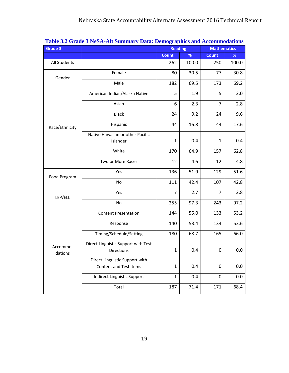| Grade 3        | rabic on Grauc o ruori ini bunniary Data. Deniographics and recommodations | <b>Reading</b> |       | <b>Mathematics</b> |       |
|----------------|----------------------------------------------------------------------------|----------------|-------|--------------------|-------|
|                |                                                                            | <b>Count</b>   | %     | <b>Count</b>       | %     |
| All Students   |                                                                            | 262            | 100.0 | 250                | 100.0 |
| Gender         | Female                                                                     | 80             | 30.5  | 77                 | 30.8  |
|                | Male                                                                       | 182            | 69.5  | 173                | 69.2  |
|                | American Indian/Alaska Native                                              | 5              | 1.9   | 5                  | 2.0   |
|                | Asian                                                                      | 6              | 2.3   | $\overline{7}$     | 2.8   |
|                | <b>Black</b>                                                               | 24             | 9.2   | 24                 | 9.6   |
| Race/Ethnicity | Hispanic                                                                   | 44             | 16.8  | 44                 | 17.6  |
|                | Native Hawaiian or other Pacific                                           |                |       |                    |       |
|                | Islander                                                                   | 1              | 0.4   | $\mathbf{1}$       | 0.4   |
|                | White                                                                      | 170            | 64.9  | 157                | 62.8  |
|                | Two or More Races                                                          | 12             | 4.6   | 12                 | 4.8   |
| Food Program   | Yes                                                                        | 136            | 51.9  | 129                | 51.6  |
|                | No                                                                         | 111            | 42.4  | 107                | 42.8  |
| LEP/ELL        | Yes                                                                        | $\overline{7}$ | 2.7   | $\overline{7}$     | 2.8   |
|                | No                                                                         | 255            | 97.3  | 243                | 97.2  |
|                | <b>Content Presentation</b>                                                | 144            | 55.0  | 133                | 53.2  |
|                | Response                                                                   | 140            | 53.4  | 134                | 53.6  |
|                | Timing/Schedule/Setting                                                    | 180            | 68.7  | 165                | 66.0  |
| Accommo-       | Direct Linguistic Support with Test                                        |                |       |                    |       |
| dations        | <b>Directions</b>                                                          | 1              | 0.4   | 0                  | 0.0   |
|                | Direct Linguistic Support with                                             |                |       |                    |       |
|                | Content and Test items                                                     | $\mathbf{1}$   | 0.4   | 0                  | 0.0   |
|                | Indirect Linguistic Support                                                | $\mathbf{1}$   | 0.4   | $\mathbf 0$        | 0.0   |
|                | Total                                                                      | 187            | 71.4  | 171                | 68.4  |

### **Table 3.2 Grade 3 NeSA-Alt Summary Data: Demographics and Accommodations**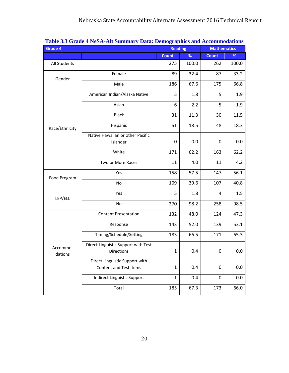| Grade 4        | <u>radic J.D Grauc 4 redix-ixii bullilliary Data. Delilographics and recommodations</u> | <b>Reading</b> |       | <b>Mathematics</b> |       |  |
|----------------|-----------------------------------------------------------------------------------------|----------------|-------|--------------------|-------|--|
|                |                                                                                         | <b>Count</b>   | %     | <b>Count</b>       | %     |  |
| All Students   |                                                                                         | 275            | 100.0 | 262                | 100.0 |  |
| Gender         | Female                                                                                  | 89             | 32.4  | 87                 | 33.2  |  |
|                | Male                                                                                    | 186            | 67.6  | 175                | 66.8  |  |
|                | American Indian/Alaska Native                                                           | 5              | 1.8   | 5                  | 1.9   |  |
|                | Asian                                                                                   | 6              | 2.2   | 5                  | 1.9   |  |
|                | <b>Black</b>                                                                            | 31             | 11.3  | 30                 | 11.5  |  |
| Race/Ethnicity | Hispanic                                                                                | 51             | 18.5  | 48                 | 18.3  |  |
|                | Native Hawaiian or other Pacific                                                        |                |       |                    |       |  |
|                | Islander                                                                                | 0              | 0.0   | 0                  | 0.0   |  |
|                | White                                                                                   | 171            | 62.2  | 163                | 62.2  |  |
|                | Two or More Races                                                                       | 11             | 4.0   | 11                 | 4.2   |  |
| Food Program   | Yes                                                                                     | 158            | 57.5  | 147                | 56.1  |  |
|                | No                                                                                      | 109            | 39.6  | 107                | 40.8  |  |
| LEP/ELL        | Yes                                                                                     | 5              | 1.8   | 4                  | 1.5   |  |
|                | No                                                                                      | 270            | 98.2  | 258                | 98.5  |  |
|                | <b>Content Presentation</b>                                                             | 132            | 48.0  | 124                | 47.3  |  |
|                | Response                                                                                | 143            | 52.0  | 139                | 53.1  |  |
|                | Timing/Schedule/Setting                                                                 | 183            | 66.5  | 171                | 65.3  |  |
| Accommo-       | Direct Linguistic Support with Test                                                     |                |       |                    |       |  |
| dations        | <b>Directions</b>                                                                       | 1              | 0.4   | 0                  | 0.0   |  |
|                | Direct Linguistic Support with                                                          |                |       |                    |       |  |
|                | Content and Test items                                                                  | 1              | 0.4   | 0                  | 0.0   |  |
|                | Indirect Linguistic Support                                                             | $\mathbf{1}$   | 0.4   | 0                  | 0.0   |  |
|                | Total                                                                                   | 185            | 67.3  | 173                | 66.0  |  |

### **Table 3.3 Grade 4 NeSA-Alt Summary Data: Demographics and Accommodations**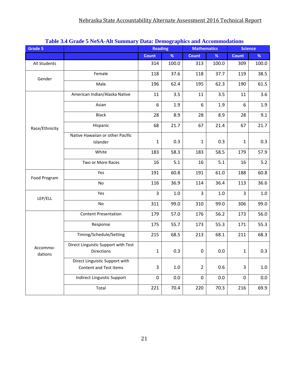| <b>Grade 5</b>      | Tubic set Staat s resh the summary Data: Demographics and recommodations | <b>Reading</b> |         |                  | <b>Mathematics</b> |              | <b>Science</b> |
|---------------------|--------------------------------------------------------------------------|----------------|---------|------------------|--------------------|--------------|----------------|
|                     |                                                                          | <b>Count</b>   | %       | <b>Count</b>     | %                  | <b>Count</b> | %              |
| All Students        |                                                                          | 314            | 100.0   | 313              | 100.0              | 309          | 100.0          |
| Gender              | Female                                                                   | 118            | 37.6    | 118              | 37.7               | 119          | 38.5           |
|                     | Male                                                                     | 196            | 62.4    | 195              | 62.3               | 190          | 61.5           |
|                     | American Indian/Alaska Native                                            | 11             | 3.5     | 11               | 3.5                | 11           | 3.6            |
|                     | Asian                                                                    | 6              | 1.9     | 6                | 1.9                | 6            | 1.9            |
|                     | <b>Black</b>                                                             | 28             | 8.9     | 28               | 8.9                | 28           | 9.1            |
| Race/Ethnicity      | Hispanic                                                                 | 68             | 21.7    | 67               | 21.4               | 67           | 21.7           |
|                     | Native Hawaiian or other Pacific                                         |                |         |                  |                    |              |                |
|                     | Islander                                                                 | 1              | 0.3     | 1                | 0.3                | $\mathbf{1}$ | 0.3            |
|                     | White                                                                    | 183            | 58.3    | 183              | 58.5               | 179          | 57.9           |
|                     | Two or More Races                                                        | 16             | 5.1     | 16               | 5.1                | 16           | 5.2            |
| Food Program        | Yes                                                                      | 191            | 60.8    | 191              | 61.0               | 188          | 60.8           |
|                     | No                                                                       | 116            | 36.9    | 114              | 36.4               | 113          | 36.6           |
| LEP/ELL             | Yes                                                                      | 3              | $1.0\,$ | 3                | 1.0                | 3            | $1.0\,$        |
|                     | <b>No</b>                                                                | 311            | 99.0    | 310              | 99.0               | 306          | 99.0           |
|                     | <b>Content Presentation</b>                                              | 179            | 57.0    | 176              | 56.2               | 173          | 56.0           |
|                     | Response                                                                 | 175            | 55.7    | 173              | 55.3               | 171          | 55.3           |
|                     | Timing/Schedule/Setting                                                  | 215            | 68.5    | 213              | 68.1               | 211          | 68.3           |
| Accommo-<br>dations | Direct Linguistic Support with Test<br><b>Directions</b>                 | $\mathbf{1}$   | 0.3     | $\boldsymbol{0}$ | 0.0                | $\mathbf{1}$ | 0.3            |
|                     | Direct Linguistic Support with                                           |                |         |                  |                    |              |                |
|                     | Content and Test items                                                   | 3              | $1.0\,$ | $\overline{2}$   | 0.6                | 3            | $1.0\,$        |
|                     | <b>Indirect Linguistic Support</b>                                       | $\pmb{0}$      | 0.0     | $\pmb{0}$        | 0.0                | $\mathbf 0$  | 0.0            |
|                     | Total                                                                    | 221            | 70.4    | 220              | 70.3               | 216          | 69.9           |

### **Table 3.4 Grade 5 NeSA-Alt Summary Data: Demographics and Accommodations**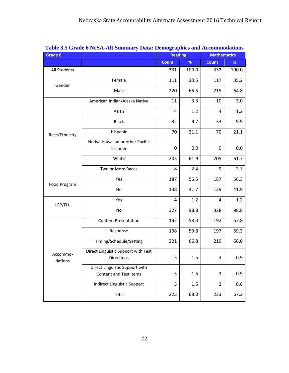| Grade 6        | <u>Fabit 9.5 Graue o INESA-AIL Summary Data. Demographics and Accommodations</u> | <b>Reading</b> |       | <b>Mathematics</b> |       |  |
|----------------|----------------------------------------------------------------------------------|----------------|-------|--------------------|-------|--|
|                |                                                                                  | Count          | %     | <b>Count</b>       | %     |  |
| All Students   |                                                                                  | 331            | 100.0 | 332                | 100.0 |  |
| Gender         | Female                                                                           | 111            | 33.5  | 117                | 35.2  |  |
|                | Male                                                                             | 220            | 66.5  | 215                | 64.8  |  |
|                | American Indian/Alaska Native                                                    | 11             | 3.3   | 10                 | 3.0   |  |
|                | Asian                                                                            | 4              | 1.2   | $\overline{a}$     | 1.2   |  |
|                | <b>Black</b>                                                                     | 32             | 9.7   | 33                 | 9.9   |  |
| Race/Ethnicity | Hispanic                                                                         | 70             | 21.1  | 70                 | 21.1  |  |
|                | Native Hawaiian or other Pacific                                                 |                |       |                    |       |  |
|                | Islander                                                                         | 0              | 0.0   | 0                  | 0.0   |  |
|                | White                                                                            | 205            | 61.9  | 205                | 61.7  |  |
|                | Two or More Races                                                                | 8              | 2.4   | 9                  | 2.7   |  |
| Food Program   | Yes                                                                              | 187            | 56.5  | 187                | 56.3  |  |
|                | No                                                                               | 138            | 41.7  | 139                | 41.9  |  |
| LEP/ELL        | Yes                                                                              | $\overline{4}$ | 1.2   | 4                  | 1.2   |  |
|                | No                                                                               | 327            | 98.8  | 328                | 98.8  |  |
|                | <b>Content Presentation</b>                                                      | 192            | 58.0  | 192                | 57.8  |  |
|                | Response                                                                         | 198            | 59.8  | 197                | 59.3  |  |
|                | Timing/Schedule/Setting                                                          | 221            | 66.8  | 219                | 66.0  |  |
| Accommo-       | Direct Linguistic Support with Test                                              |                |       |                    |       |  |
| dations        | <b>Directions</b>                                                                | 5              | 1.5   | 3                  | 0.9   |  |
|                | Direct Linguistic Support with                                                   |                |       |                    |       |  |
|                | Content and Test items                                                           | 5              | 1.5   | 3                  | 0.9   |  |
|                | Indirect Linguistic Support                                                      | 5              | 1.5   | $\overline{2}$     | 0.6   |  |
|                | Total                                                                            | 225            | 68.0  | 223                | 67.2  |  |

### **Table 3.5 Grade 6 NeSA-Alt Summary Data: Demographics and Accommodations**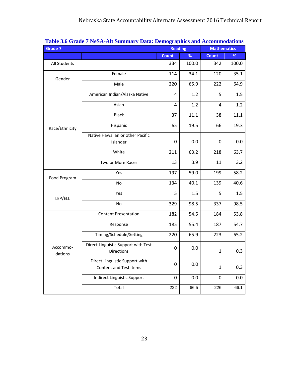| Grade 7             | <u>radio 9.0 Grauc 7 rudh-hii dunniary Data. Deniographies and Accommodations</u> | <b>Reading</b>   |       | <b>Mathematics</b> |       |
|---------------------|-----------------------------------------------------------------------------------|------------------|-------|--------------------|-------|
|                     |                                                                                   | <b>Count</b>     | %     | <b>Count</b>       | $\%$  |
| All Students        |                                                                                   | 334              | 100.0 | 342                | 100.0 |
| Gender              | Female                                                                            | 114              | 34.1  | 120                | 35.1  |
|                     | Male                                                                              | 220              | 65.9  | 222                | 64.9  |
|                     | American Indian/Alaska Native                                                     | $\overline{4}$   | 1.2   | 5                  | 1.5   |
|                     | Asian                                                                             | 4                | 1.2   | $\overline{4}$     | 1.2   |
|                     | <b>Black</b>                                                                      | 37               | 11.1  | 38                 | 11.1  |
| Race/Ethnicity      | Hispanic                                                                          | 65               | 19.5  | 66                 | 19.3  |
|                     | Native Hawaiian or other Pacific                                                  |                  |       |                    |       |
|                     | Islander                                                                          | 0                | 0.0   | 0                  | 0.0   |
|                     | White                                                                             | 211              | 63.2  | 218                | 63.7  |
|                     | Two or More Races                                                                 | 13               | 3.9   | 11                 | 3.2   |
| Food Program        | Yes                                                                               | 197              | 59.0  | 199                | 58.2  |
|                     | No                                                                                | 134              | 40.1  | 139                | 40.6  |
| LEP/ELL             | Yes                                                                               | 5                | 1.5   | 5                  | 1.5   |
|                     | No                                                                                | 329              | 98.5  | 337                | 98.5  |
|                     | <b>Content Presentation</b>                                                       | 182              | 54.5  | 184                | 53.8  |
|                     | Response                                                                          | 185              | 55.4  | 187                | 54.7  |
|                     | Timing/Schedule/Setting                                                           | 220              | 65.9  | 223                | 65.2  |
| Accommo-<br>dations | Direct Linguistic Support with Test<br><b>Directions</b>                          | 0                | 0.0   | $\mathbf{1}$       | 0.3   |
|                     | Direct Linguistic Support with<br>Content and Test items                          | $\boldsymbol{0}$ | 0.0   | $\mathbf 1$        | 0.3   |
|                     | Indirect Linguistic Support                                                       | 0                | 0.0   | 0                  | 0.0   |
|                     | Total                                                                             | 222              | 66.5  | 226                | 66.1  |

### **Table 3.6 Grade 7 NeSA-Alt Summary Data: Demographics and Accommodations**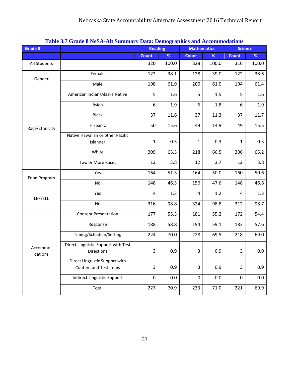| Grade 8             | Table 3.7 Graue o NebA-Alt bullinary Data. Demographics and Accommodations | <b>Reading</b>   |       | <b>Mathematics</b> |          | <b>Science</b> |       |
|---------------------|----------------------------------------------------------------------------|------------------|-------|--------------------|----------|----------------|-------|
|                     |                                                                            | <b>Count</b>     | $\%$  | <b>Count</b>       | %        | <b>Count</b>   | %     |
| All Students        |                                                                            | 320              | 100.0 | 328                | 100.0    | 316            | 100.0 |
| Gender              | Female                                                                     | 122              | 38.1  | 128                | 39.0     | 122            | 38.6  |
|                     | Male                                                                       | 198              | 61.9  | 200                | 61.0     | 194            | 61.4  |
|                     | American Indian/Alaska Native                                              | 5                | 1.6   | 5                  | 1.5      | 5              | 1.6   |
|                     | Asian                                                                      | 6                | 1.9   | 6                  | 1.8      | 6              | 1.9   |
|                     | <b>Black</b>                                                               | 37               | 11.6  | 37                 | 11.3     | 37             | 11.7  |
| Race/Ethnicity      | Hispanic                                                                   | 50               | 15.6  | 49                 | 14.9     | 49             | 15.5  |
|                     | Native Hawaiian or other Pacific                                           |                  |       |                    |          |                |       |
|                     | Islander                                                                   | $\mathbf{1}$     | 0.3   | $\mathbf{1}$       | 0.3      | 1              | 0.3   |
|                     | White                                                                      | 209              | 65.3  | 218                | 66.5     | 206            | 65.2  |
|                     | Two or More Races                                                          | 12               | 3.8   | 12                 | 3.7      | 12             | 3.8   |
| Food Program        | Yes                                                                        | 164              | 51.3  | 164                | 50.0     | 160            | 50.6  |
|                     | No                                                                         | 148              | 46.3  | 156                | 47.6     | 148            | 46.8  |
| LEP/ELL             | Yes                                                                        | 4                | 1.3   | 4                  | 1.2      | 4              | 1.3   |
|                     | No                                                                         | 316              | 98.8  | 324                | 98.8     | 312            | 98.7  |
|                     | <b>Content Presentation</b>                                                | 177              | 55.3  | 181                | 55.2     | 172            | 54.4  |
|                     | Response                                                                   | 188              | 58.8  | 194                | 59.1     | 182            | 57.6  |
|                     | Timing/Schedule/Setting                                                    | 224              | 70.0  | 228                | 69.5     | 218            | 69.0  |
| Accommo-<br>dations | Direct Linguistic Support with Test<br>Directions                          | 3                | 0.9   | 3                  | 0.9      | 3              | 0.9   |
|                     | Direct Linguistic Support with                                             |                  |       |                    |          |                |       |
|                     | Content and Test items                                                     | 3                | 0.9   | 3                  | 0.9      | 3              | 0.9   |
|                     | Indirect Linguistic Support                                                | $\boldsymbol{0}$ | 0.0   | $\boldsymbol{0}$   | 0.0      | $\mathbf 0$    | 0.0   |
|                     | Total                                                                      | 227              | 70.9  | 233                | $71.0\,$ | 221            | 69.9  |

#### **Table 3.7 Grade 8 NeSA-Alt Summary Data: Demographics and Accommodations**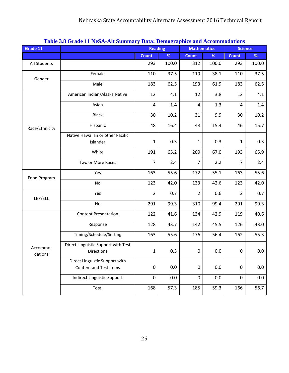| Grade 11       | Table 5.0 Graue 11 NebA-Alt bullinary Data. Delhographies and Accommodations | <b>Reading</b>   |       | <b>Mathematics</b> |       |                | <b>Science</b> |
|----------------|------------------------------------------------------------------------------|------------------|-------|--------------------|-------|----------------|----------------|
|                |                                                                              | <b>Count</b>     | $\%$  | <b>Count</b>       | $\%$  | <b>Count</b>   | %              |
| All Students   |                                                                              | 293              | 100.0 | 312                | 100.0 | 293            | 100.0          |
| Gender         | Female                                                                       | 110              | 37.5  | 119                | 38.1  | 110            | 37.5           |
|                | Male                                                                         | 183              | 62.5  | 193                | 61.9  | 183            | 62.5           |
|                | American Indian/Alaska Native                                                | 12               | 4.1   | 12                 | 3.8   | 12             | 4.1            |
|                | Asian                                                                        | 4                | 1.4   | 4                  | 1.3   | 4              | 1.4            |
|                | <b>Black</b>                                                                 | 30               | 10.2  | 31                 | 9.9   | 30             | 10.2           |
| Race/Ethnicity | Hispanic                                                                     | 48               | 16.4  | 48                 | 15.4  | 46             | 15.7           |
|                | Native Hawaiian or other Pacific                                             |                  |       |                    |       |                |                |
|                | Islander                                                                     | $\mathbf{1}$     | 0.3   | $\mathbf{1}$       | 0.3   | 1              | 0.3            |
|                | White                                                                        | 191              | 65.2  | 209                | 67.0  | 193            | 65.9           |
|                | Two or More Races                                                            | $\overline{7}$   | 2.4   | $\overline{7}$     | 2.2   | $\overline{7}$ | 2.4            |
| Food Program   | Yes                                                                          | 163              | 55.6  | 172                | 55.1  | 163            | 55.6           |
|                | No                                                                           | 123              | 42.0  | 133                | 42.6  | 123            | 42.0           |
| LEP/ELL        | Yes                                                                          | $\overline{2}$   | 0.7   | $\overline{2}$     | 0.6   | $\overline{2}$ | 0.7            |
|                | No                                                                           | 291              | 99.3  | 310                | 99.4  | 291            | 99.3           |
|                | <b>Content Presentation</b>                                                  | 122              | 41.6  | 134                | 42.9  | 119            | 40.6           |
|                | Response                                                                     | 128              | 43.7  | 142                | 45.5  | 126            | 43.0           |
|                | Timing/Schedule/Setting                                                      | 163              | 55.6  | 176                | 56.4  | 162            | 55.3           |
| Accommo-       | Direct Linguistic Support with Test                                          |                  |       |                    |       |                |                |
| dations        | <b>Directions</b>                                                            | $\mathbf{1}$     | 0.3   | 0                  | 0.0   | 0              | $0.0\,$        |
|                | Direct Linguistic Support with                                               |                  |       |                    |       |                |                |
|                | Content and Test items                                                       | $\boldsymbol{0}$ | 0.0   | 0                  | 0.0   | $\mathbf 0$    | 0.0            |
|                | Indirect Linguistic Support                                                  | $\boldsymbol{0}$ | 0.0   | $\boldsymbol{0}$   | 0.0   | 0              | 0.0            |
|                | Total                                                                        | 168              | 57.3  | 185                | 59.3  | 166            | 56.7           |

#### **Table 3.8 Grade 11 NeSA-Alt Summary Data: Demographics and Accommodations**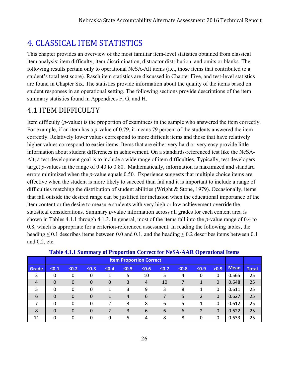### **4. CLASSICAL ITEM STATISTICS**

This chapter provides an overview of the most familiar item-level statistics obtained from classical item analysis: item difficulty, item discrimination, distractor distribution, and omits or blanks. The following results pertain only to operational NeSA-Alt items (i.e., those items that contributed to a student's total test score). Rasch item statistics are discussed in Chapter Five, and test-level statistics are found in Chapter Six. The statistics provide information about the quality of the items based on student responses in an operational setting. The following sections provide descriptions of the item summary statistics found in Appendices F, G, and H.

### 4.1 ITEM DIFFICULTY

Item difficulty (*p*-value) is the proportion of examinees in the sample who answered the item correctly. For example, if an item has a *p*-value of 0.79, it means 79 percent of the students answered the item correctly. Relatively lower values correspond to more difficult items and those that have relatively higher values correspond to easier items. Items that are either very hard or very easy provide little information about student differences in achievement. On a standards-referenced test like the NeSA-Alt, a test development goal is to include a wide range of item difficulties. Typically, test developers target *p*-values in the range of 0.40 to 0.80. Mathematically, information is maximized and standard errors minimized when the *p*-value equals 0.50. Experience suggests that multiple choice items are effective when the student is more likely to succeed than fail and it is important to include a range of difficulties matching the distribution of student abilities (Wright & Stone, 1979). Occasionally, items that fall outside the desired range can be justified for inclusion when the educational importance of the item content or the desire to measure students with very high or low achievement override the statistical considerations. Summary *p*-value information across all grades for each content area is shown in Tables 4.1.1 through 4.1.3. In general, most of the items fall into the *p*-value range of 0.4 to 0.8, which is appropriate for a criterion-referenced assessment. In reading the following tables, the heading  $\leq 0.1$  describes items between 0.0 and 0.1, and the heading  $\leq 0.2$  describes items between 0.1 and 0.2, etc.

|                |                                                                                                                                | <b>Item Proportion Correct</b> |                |   |   |                |    |   |                |              |             |              |
|----------------|--------------------------------------------------------------------------------------------------------------------------------|--------------------------------|----------------|---|---|----------------|----|---|----------------|--------------|-------------|--------------|
| Grade          | $\leq 0.1$<br>$≤0.2$<br>$\leq 0.3$<br>$\leq 0.4$<br>$\leq 0.5$<br>$\leq 0.6$<br>$\leq 0.7$<br>$\leq 0.8$<br>$\leq 0.9$<br>>0.9 |                                |                |   |   |                |    |   |                |              | <b>Mean</b> | <b>Total</b> |
| 3              | 0                                                                                                                              | 0                              | 0              |   | 5 | 10             | 5  | 4 | 0              | 0            | 0.565       | 25           |
| $\overline{4}$ | $\Omega$                                                                                                                       | $\mathbf 0$                    | 0              | 0 | 3 | $\overline{4}$ | 10 |   |                | $\mathbf 0$  | 0.648       | 25           |
| 5              | $\Omega$                                                                                                                       | 0                              | 0              | 1 | 3 | 9              | 3  | 8 |                | 0            | 0.611       | 25           |
| 6              | $\Omega$                                                                                                                       | $\mathbf 0$                    | $\overline{0}$ | 1 | 4 | 6              |    | 5 | $\overline{2}$ | $\mathbf{0}$ | 0.627       | 25           |
| 7              | 0                                                                                                                              | 0                              | 0              | 2 | 3 | 8              | 6  | 5 |                | 0            | 0.612       | 25           |
| 8              | $\Omega$                                                                                                                       | $\mathbf 0$                    | $\overline{0}$ | 2 | 3 | 6              | 6  | 6 | 2              | $\Omega$     | 0.622       | 25           |
| 11             | $\Omega$                                                                                                                       | 0                              | 0              | 0 | 5 | 4              | 8  | 8 | 0              | 0            | 0.633       | 25           |

| Table 4.1.1 Summary of Proportion Correct for NeSA-AAR Operational Items |  |  |
|--------------------------------------------------------------------------|--|--|
|                                                                          |  |  |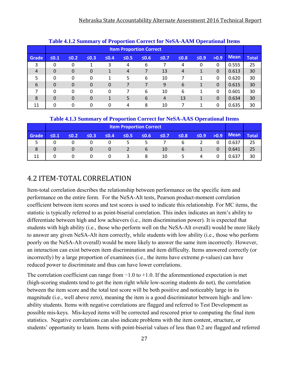|                |            |                                                                                                                      |                |          |    |   |                | Table 4.1.2 Summary of Proportion Correct for NeSA-AAM Operational Items |   |              |             |              |  |  |  |  |  |
|----------------|------------|----------------------------------------------------------------------------------------------------------------------|----------------|----------|----|---|----------------|--------------------------------------------------------------------------|---|--------------|-------------|--------------|--|--|--|--|--|
|                |            | <b>Item Proportion Correct</b>                                                                                       |                |          |    |   |                |                                                                          |   |              |             |              |  |  |  |  |  |
| <b>Grade</b>   | $\leq 0.1$ | >0.9<br>$\leq 0.8$<br>$\leq 0.2$<br>$\leq 0.3$<br>$\leq 0.4$<br>$\leq 0.5$<br>$\leq 0.6$<br>$\leq 0.7$<br>$\leq 0.9$ |                |          |    |   |                |                                                                          |   |              | <b>Mean</b> | <b>Total</b> |  |  |  |  |  |
| 3              | 0          | 0                                                                                                                    | 1              | 3        | 4  | 6 |                | 4                                                                        | 0 | $\Omega$     | 0.555       | 25           |  |  |  |  |  |
| $\overline{4}$ | $\Omega$   | $\Omega$                                                                                                             | $\overline{0}$ | 1        | 4  |   | 13             | $\overline{4}$                                                           | 1 | $\Omega$     | 0.613       | 30           |  |  |  |  |  |
| 5              | $\Omega$   | $\Omega$                                                                                                             | $\Omega$       | 1        | 5. | 6 | 10             |                                                                          | 1 | $\mathbf{0}$ | 0.620       | 30           |  |  |  |  |  |
| 6              | $\Omega$   | $\Omega$                                                                                                             | $\Omega$       | 0        |    |   | 9              | 6                                                                        | 1 | $\Omega$     | 0.615       | 30           |  |  |  |  |  |
| 7              | $\Omega$   | 0                                                                                                                    | 0              | $\Omega$ |    | 6 | 10             | 6                                                                        | 1 | $\Omega$     | 0.601       | 30           |  |  |  |  |  |
| 8              | $\Omega$   | $\Omega$                                                                                                             | $\Omega$       | 1        | 5  | 6 | $\overline{4}$ | 13                                                                       | 1 | $\Omega$     | 0.634       | 30           |  |  |  |  |  |
| 11             | 0          | 0                                                                                                                    | 0              | 0        | 4  | 8 | 10             |                                                                          | 1 | $\Omega$     | 0.635       | 30           |  |  |  |  |  |

#### **Table 4.1.2 Summary of Proportion Correct for NeSA-AAM Operational Items**

#### **Table 4.1.3 Summary of Proportion Correct for NeSA-AAS Operational Items**

|       |            | <b>Item Proportion Correct</b> |            |            |            |             |            |            |            |      |             |              |
|-------|------------|--------------------------------|------------|------------|------------|-------------|------------|------------|------------|------|-------------|--------------|
| Grade | $\leq 0.1$ | $\leq 0.21$                    | $\leq 0.3$ | $\leq 0.4$ | $\leq 0.5$ | $\leq 0.6$  | $\leq 0.7$ | $\leq 0.8$ | $\leq 0.9$ | >0.9 | <b>Mean</b> | <b>Total</b> |
|       |            |                                |            |            | 5.         | C.          |            | b          |            |      | 0.637       | 25           |
| 8     |            |                                | 0          | 0          |            | $\mathbf b$ | 10         | 6          |            | 0    | 0.641       | 25           |
| 11    |            |                                |            |            | ર          | 8           | 10         | 5          |            |      | 0.637       | 30           |

### 4.2 ITEM‐TOTAL CORRELATION

Item-total correlation describes the relationship between performance on the specific item and performance on the entire form. For the NeSA-Alt tests, Pearson product-moment correlation coefficient between item scores and test scores is used to indicate this relationship. For MC items, the statistic is typically referred to as point-biserial correlation. This index indicates an item's ability to differentiate between high and low achievers (i.e., item discrimination power). It is expected that students with high ability (i.e., those who perform well on the NeSA-Alt overall) would be more likely to answer any given NeSA-Alt item correctly, while students with low ability (i.e., those who perform poorly on the NeSA-Alt overall) would be more likely to answer the same item incorrectly. However, an interaction can exist between item discrimination and item difficulty. Items answered correctly (or incorrectly) by a large proportion of examinees (i.e., the items have extreme *p*-values) can have reduced power to discriminate and thus can have lower correlations.

The correlation coefficient can range from  $-1.0$  to  $+1.0$ . If the aforementioned expectation is met (high-scoring students tend to get the item right while low-scoring students do not), the correlation between the item score and the total test score will be both positive and noticeably large in its magnitude (i.e., well above zero), meaning the item is a good discriminator between high- and lowability students. Items with negative correlations are flagged and referred to Test Development as possible mis-keys. Mis-keyed items will be corrected and rescored prior to computing the final item statistics. Negative correlations can also indicate problems with the item content, structure, or students' opportunity to learn. Items with point-biserial values of less than 0.2 are flagged and referred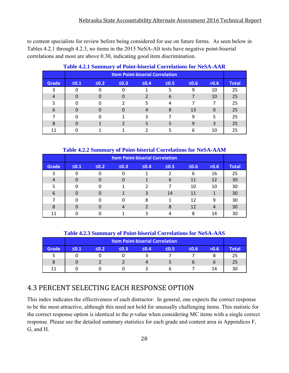to content specialists for review before being considered for use on future forms. As seen below in Tables 4.2.1 through 4.2.3, no items in the 2015 NeSA-Alt tests have negative point-biserial correlations and most are above 0.30, indicating good item discrimination.

|              |                                        | THEIR DUMINION Y OF TURN DISCHAR COLLUMNOIS TOT FROM THEFT |            |            |            |            |      |              |
|--------------|----------------------------------------|------------------------------------------------------------|------------|------------|------------|------------|------|--------------|
|              | <b>Item Point-biserial Correlation</b> |                                                            |            |            |            |            |      |              |
| <b>Grade</b> | $\leq 0.1$                             | $\leq 0.2$                                                 | $\leq 0.3$ | $\leq 0.4$ | $\leq 0.5$ | $\leq 0.6$ | >0.6 | <b>Total</b> |
| 3            |                                        |                                                            |            |            |            | 9          | 10   | 25           |
| 4            |                                        |                                                            |            |            | 6          |            | 10   | 25           |
|              |                                        |                                                            |            |            | Δ          |            | 7    | 25           |
| 6            |                                        |                                                            |            |            |            | 13         | 0    | 25           |
|              |                                        |                                                            |            | 3          |            | 9          | 5    | 25           |
| 8            |                                        |                                                            |            |            |            | 9          | 3    | 25           |
| 11           |                                        |                                                            |            |            |            | 6          | 10   | 25           |

#### **Table 4.2.1 Summary of Point-biserial Correlations for NeSA-AAR**

**Table 4.2.2 Summary of Point-biserial Correlations for NeSA-AAM** 

|              |                                                                                          |  |   | <b>Item Point-biserial Correlation</b> |    |    |    |    |  |
|--------------|------------------------------------------------------------------------------------------|--|---|----------------------------------------|----|----|----|----|--|
| <b>Grade</b> | $\leq 0.3$<br>$\leq 0.1$<br>$\leq 0.2$<br>$\leq 0.4$<br>$\leq 0.5$<br>$\leq 0.6$<br>>0.6 |  |   |                                        |    |    |    |    |  |
| 3            | 0                                                                                        |  | 0 |                                        |    | 6  | 16 | 25 |  |
| 4            | 0                                                                                        |  | 0 |                                        | 6  | 11 | 12 | 30 |  |
| 5            | ი                                                                                        |  |   |                                        |    | 10 | 10 | 30 |  |
| 6            | 0                                                                                        |  |   | 3                                      | 14 | 11 |    | 30 |  |
|              | U                                                                                        |  | ი | 8                                      |    | 12 | 9  | 30 |  |
| 8            | O                                                                                        |  | 4 |                                        | 8  | 12 | 4  | 30 |  |
| 11           |                                                                                          |  |   | ર                                      | 4  | 8  | 14 | 30 |  |

**Table 4.2.3 Summary of Point-biserial Correlations for NeSA-AAS** 

|       |            |            |      | <b>Item Point-biserial Correlation</b> |            |       |      |              |
|-------|------------|------------|------|----------------------------------------|------------|-------|------|--------------|
| Grade | $\leq 0.1$ | $\leq 0.2$ | ≤0.3 | $\leq 0.4$                             | $\leq 0.5$ | .6.6≤ | >0.6 | <b>Total</b> |
|       |            |            |      |                                        |            |       |      |              |
|       |            |            |      | 4                                      |            |       | h    |              |
| 11    |            |            |      |                                        |            |       | 14   |              |

### 4.3 PERCENT SELECTING EACH RESPONSE OPTION

This index indicates the effectiveness of each distractor. In general, one expects the correct response to be the most attractive, although this need not hold for unusually challenging items. This statistic for the correct response option is identical to the *p*-value when considering MC items with a single correct response. Please see the detailed summary statistics for each grade and content area in Appendices F, G, and H.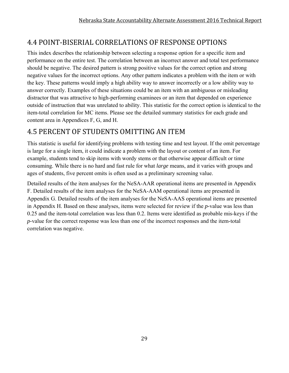### 4.4 POINT‐BISERIAL CORRELATIONS OF RESPONSE OPTIONS

This index describes the relationship between selecting a response option for a specific item and performance on the entire test. The correlation between an incorrect answer and total test performance should be negative. The desired pattern is strong positive values for the correct option and strong negative values for the incorrect options. Any other pattern indicates a problem with the item or with the key. These patterns would imply a high ability way to answer incorrectly or a low ability way to answer correctly. Examples of these situations could be an item with an ambiguous or misleading distractor that was attractive to high-performing examinees or an item that depended on experience outside of instruction that was unrelated to ability. This statistic for the correct option is identical to the item-total correlation for MC items. Please see the detailed summary statistics for each grade and content area in Appendices F, G, and H.

### 4.5 PERCENT OF STUDENTS OMITTING AN ITEM

This statistic is useful for identifying problems with testing time and test layout. If the omit percentage is large for a single item, it could indicate a problem with the layout or content of an item. For example, students tend to skip items with wordy stems or that otherwise appear difficult or time consuming. While there is no hard and fast rule for what *large* means, and it varies with groups and ages of students, five percent omits is often used as a preliminary screening value.

Detailed results of the item analyses for the NeSA-AAR operational items are presented in Appendix F. Detailed results of the item analyses for the NeSA-AAM operational items are presented in Appendix G. Detailed results of the item analyses for the NeSA-AAS operational items are presented in Appendix H. Based on these analyses, items were selected for review if the *p-*value was less than 0.25 and the item-total correlation was less than 0.2. Items were identified as probable mis-keys if the *p-*value for the correct response was less than one of the incorrect responses and the item-total correlation was negative.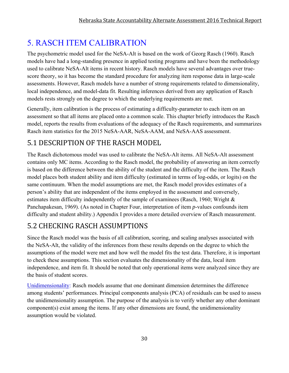## 5. RASCH ITEM CALIBRATION

The psychometric model used for the NeSA-Alt is based on the work of Georg Rasch (1960). Rasch models have had a long-standing presence in applied testing programs and have been the methodology used to calibrate NeSA-Alt items in recent history. Rasch models have several advantages over truescore theory, so it has become the standard procedure for analyzing item response data in large-scale assessments. However, Rasch models have a number of strong requirements related to dimensionality, local independence, and model-data fit. Resulting inferences derived from any application of Rasch models rests strongly on the degree to which the underlying requirements are met.

Generally, item calibration is the process of estimating a difficulty-parameter to each item on an assessment so that all items are placed onto a common scale. This chapter briefly introduces the Rasch model, reports the results from evaluations of the adequacy of the Rasch requirements, and summarizes Rasch item statistics for the 2015 NeSA-AAR, NeSA-AAM, and NeSA-AAS assessment.

### 5.1 DESCRIPTION OF THE RASCH MODEL

The Rasch dichotomous model was used to calibrate the NeSA-Alt items. All NeSA-Alt assessment contains only MC items. According to the Rasch model, the probability of answering an item correctly is based on the difference between the ability of the student and the difficulty of the item. The Rasch model places both student ability and item difficulty (estimated in terms of log-odds, or logits) on the same continuum. When the model assumptions are met, the Rasch model provides estimates of a person's ability that are independent of the items employed in the assessment and conversely, estimates item difficulty independently of the sample of examinees (Rasch, 1960; Wright & Panchapakesan, 1969). (As noted in Chapter Four, interpretation of item *p*-values confounds item difficulty and student ability.) Appendix I provides a more detailed overview of Rasch measurement.

### 5.2 CHECKING RASCH ASSUMPTIONS

Since the Rasch model was the basis of all calibration, scoring, and scaling analyses associated with the NeSA-Alt, the validity of the inferences from these results depends on the degree to which the assumptions of the model were met and how well the model fits the test data. Therefore, it is important to check these assumptions. This section evaluates the dimensionality of the data, local item independence, and item fit. It should be noted that only operational items were analyzed since they are the basis of student scores.

Unidimensionality: Rasch models assume that one dominant dimension determines the difference among students' performances. Principal components analysis (PCA) of residuals can be used to assess the unidimensionality assumption. The purpose of the analysis is to verify whether any other dominant component(s) exist among the items. If any other dimensions are found, the unidimensionality assumption would be violated.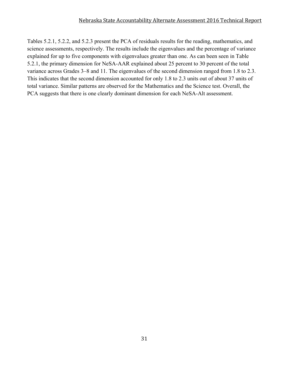Tables 5.2.1, 5.2.2, and 5.2.3 present the PCA of residuals results for the reading, mathematics, and science assessments, respectively. The results include the eigenvalues and the percentage of variance explained for up to five components with eigenvalues greater than one. As can been seen in Table 5.2.1, the primary dimension for NeSA-AAR explained about 25 percent to 30 percent of the total variance across Grades 3–8 and 11. The eigenvalues of the second dimension ranged from 1.8 to 2.3. This indicates that the second dimension accounted for only 1.8 to 2.3 units out of about 37 units of total variance. Similar patterns are observed for the Mathematics and the Science test. Overall, the PCA suggests that there is one clearly dominant dimension for each NeSA-Alt assessment.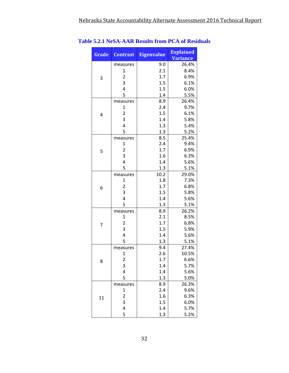| Grade | <b>Contrast</b>         | <b>Eigenvalue</b> | <b>Explained</b><br><b>Variance</b> |
|-------|-------------------------|-------------------|-------------------------------------|
|       | measures                | 9.0               | 26.4%                               |
|       | $\mathbf{1}$            | 2.1               | 8.4%                                |
| 3     | $\overline{2}$          | 1.7               | 6.9%                                |
|       | 3                       | 1.5               | 6.1%                                |
|       | $\overline{4}$          | 1.5               | 6.0%                                |
|       | 5                       | 1.4               | 5.5%                                |
|       | measures                | 8.9               | 26.4%                               |
|       | $\mathbf{1}$            | 2.4               | 9.7%                                |
| 4     | $\overline{2}$          | 1.5               | 6.1%                                |
|       | 3                       | 1.4               | 5.8%                                |
|       | $\overline{4}$          | 1.3               | 5.4%                                |
|       | 5                       | 1.3               | 5.2%                                |
|       | measures                | 8.5               | 25.4%                               |
|       | 1                       | 2.4               | 9.4%                                |
| 5     | $\overline{2}$          | 1.7               | 6.9%                                |
|       | 3                       | 1.6               | 6.3%                                |
|       | $\overline{\mathbf{r}}$ | 1.4               | 5.6%                                |
|       | 5                       | 1.3               | 5.1%                                |
|       | measures                | 10.2              | 29.0%                               |
|       | $\mathbf{1}$            | 1.8               | 7.3%                                |
| 6     | $\overline{2}$          | 1.7               | 6.8%                                |
|       | 3                       | 1.5               | 5.8%                                |
|       | $\overline{4}$          | 1.4               | 5.6%                                |
|       | 5                       | 1.3               | 5.1%                                |
|       | measures                | 8.9               | 26.2%                               |
|       | 1                       | 2.1               | 8.5%                                |
| 7     | $\overline{2}$          | 1.7               | 6.8%                                |
|       | 3                       | 1.5               | 5.9%                                |
|       | $\overline{4}$          | 1.4               | 5.6%                                |
|       | 5                       | 1.3               | 5.1%                                |
|       | measures                | 9.4               | 27.4%                               |
|       | 1                       | 2.6               | 10.5%                               |
| 8     | 2                       | 1.7               | 6.6%                                |
|       | 3                       | 1.4               | 5.7%                                |
|       | 4                       | 1.4               | 5.6%                                |
|       | 5                       | 1.3               | 5.0%                                |
|       | measures                | 8.9               | 26.3%                               |
|       | $\mathbf 1$             | 2.4               | 9.6%                                |
| 11    | 2                       | 1.6               | 6.3%                                |
|       | 3                       | 1.5               | 6.0%                                |
|       | 4                       | 1.4               | 5.7%                                |
|       | 5                       | 1.3               | 5.2%                                |

**Table 5.2.1 NeSA-AAR Results from PCA of Residuals**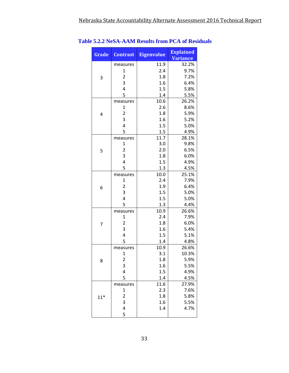| Grade | <b>Contrast</b>         | <b>Eigenvalue</b> | <b>Explained</b><br><b>Variance</b> |
|-------|-------------------------|-------------------|-------------------------------------|
|       | measures                | 11.9              | 32.2%                               |
|       | $\mathbf{1}$            | 2.4               | 9.7%                                |
| 3     | $\overline{2}$          | 1.8               | 7.2%                                |
|       | 3                       | 1.6               | 6.4%                                |
|       | 4                       | 1.5               | 5.8%                                |
|       | 5                       | 1.4               | 5.5%                                |
|       | measures                | 10.6              | 26.2%                               |
|       | 1                       | 2.6               | 8.6%                                |
| 4     | $\overline{\mathbf{c}}$ | 1.8               | 5.9%                                |
|       | 3                       | 1.6               | 5.2%                                |
|       | $\overline{\mathbf{4}}$ | 1.5               | 5.0%                                |
|       | 5                       | 1.5               | 4.9%                                |
|       | measures                | 11.7              | 28.1%                               |
|       | $\mathbf{1}$            | 3.0               | 9.8%                                |
| 5     | $\overline{c}$          | 2.0               | 6.5%                                |
|       | 3                       | 1.8               | 6.0%                                |
|       | $\overline{4}$          | 1.5               | 4.9%                                |
|       | 5                       | 1.3               | 4.5%                                |
|       | measures                | 10.0              | 25.1%                               |
|       | 1                       | 2.4               | 7.9%                                |
| 6     | $\overline{2}$          | 1.9               | 6.4%                                |
|       | 3                       | 1.5               | 5.0%                                |
|       | $\overline{4}$          | 1.5               | 5.0%                                |
|       | 5                       | 1.3               | 4.4%                                |
|       | measures                | 10.9              | 26.6%                               |
|       | $\mathbf{1}$            | 2.4               | 7.9%                                |
| 7     | $\overline{2}$          | 1.8               | 6.0%                                |
|       | 3                       | 1.6               | 5.4%                                |
|       | 4                       | 1.5               | 5.1%                                |
|       | 5                       | 1.4               | 4.8%                                |
|       | measures                | 10.9              | 26.6%                               |
|       | 1                       | 3.1               | 10.3%                               |
| 8     | 2                       | 1.8               | 5.9%                                |
|       | 3                       | 1.6               | 5.5%                                |
|       | $\overline{\mathbf{r}}$ | 1.5               | 4.9%                                |
|       | 5                       | 1.4               | 4.5%                                |
|       | measures                | 11.6              | 27.9%                               |
|       | 1                       | 2.3               | 7.6%                                |
| $11*$ | 2                       | 1.8               | 5.8%                                |
|       | 3                       | 1.6               | 5.5%                                |
|       | 4                       | 1.4               | 4.7%                                |
|       | 5                       |                   |                                     |

**Table 5.2.2 NeSA-AAM Results from PCA of Residuals**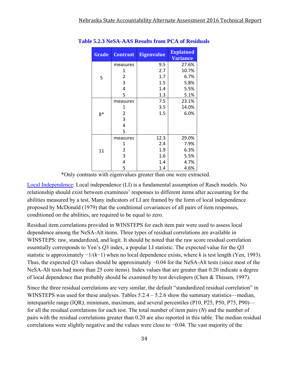| Grade | <b>Contrast</b> | <b>Eigenvalue</b> | <b>Explained</b><br><b>Variance</b> |
|-------|-----------------|-------------------|-------------------------------------|
|       | measures        | 9.5               | 27.6%                               |
|       | 1               | 2.7               | 10.7%                               |
| 5     | $\overline{2}$  | 1.7               | 6.7%                                |
|       | 3               | 1.5               | 5.8%                                |
|       | 4               | 1.4               | 5.5%                                |
|       | 5               | 1.3               | 5.1%                                |
|       | measures        | 7.5               | 23.1%                               |
|       | 1               | 3.5               | 14.0%                               |
| $8*$  | $\overline{2}$  | 1.5               | 6.0%                                |
|       | 3               |                   |                                     |
|       | 4               |                   |                                     |
|       | 5               |                   |                                     |
|       | measures        | 12.3              | 29.0%                               |
|       | 1               | 2.4               | 7.9%                                |
| 11    | 2               | 1.9               | 6.3%                                |
|       | 3               | 1.6               | 5.5%                                |
|       | 4               | 1.4               | 4.7%                                |
|       | 5               | 1.4               | 4.6%                                |

**Table 5.2.3 NeSA-AAS Results from PCA of Residuals** 

\*Only contrasts with eigenvalues greater than one were extracted.

Local Independence: Local independence (LI) is a fundamental assumption of Rasch models. No relationship should exist between examinees' responses to different items after accounting for the abilities measured by a test. Many indicators of LI are framed by the form of local independence proposed by McDonald (1979) that the conditional covariances of all pairs of item responses, conditioned on the abilities, are required to be equal to zero.

Residual item correlations provided in WINSTEPS for each item pair were used to assess local dependence among the NeSA-Alt items. Three types of residual correlations are available in WINSTEPS: raw, standardized, and logit. It should be noted that the raw score residual correlation essentially corresponds to Yen's *Q*3 index, a popular LI statistic. The expected value for the *Q3*  statistic is approximately −1/(*k*−1) when no local dependence exists, where *k* is test length (Yen, 1993). Thus, the expected *Q*3 values should be approximately −0.04 for the NeSA-Alt tests (since most of the NeSA-Alt tests had more than 25 core items). Index values that are greater than 0.20 indicate a degree of local dependence that probably should be examined by test developers (Chen & Thissen, 1997).

Since the three residual correlations are very similar, the default "standardized residual correlation" in WINSTEPS was used for these analyses. Tables  $5.2.4 - 5.2.6$  show the summary statistics—median, interquartile range (IQR*)*, minimum, maximum, and several percentiles (P10, P25, P50, P75, P90) for all the residual correlations for each test. The total number of item pairs (*N*) and the number of pairs with the residual correlations greater than 0.20 are also reported in this table. The median residual correlations were slightly negative and the values were close to −0.04. The vast majority of the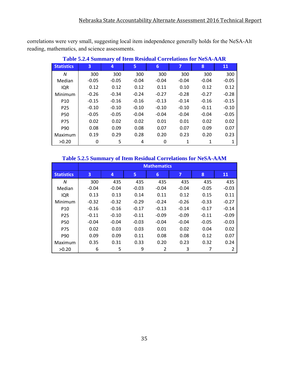correlations were very small, suggesting local item independence generally holds for the NeSA-Alt reading, mathematics, and science assessments.

|                   | <u>Table 3.2.4 Dunnial y of Tieni Kesiuual Colletations for NebA-AAR</u> |         |         |         |         |         |         |  |  |  |  |  |
|-------------------|--------------------------------------------------------------------------|---------|---------|---------|---------|---------|---------|--|--|--|--|--|
| <b>Statistics</b> | 3                                                                        | 4       | 5       | 6       | 7       | 8       | 11      |  |  |  |  |  |
| N                 | 300                                                                      | 300     | 300     | 300     | 300     | 300     | 300     |  |  |  |  |  |
| Median            | $-0.05$                                                                  | $-0.05$ | $-0.04$ | $-0.04$ | $-0.04$ | $-0.04$ | $-0.05$ |  |  |  |  |  |
| <b>IQR</b>        | 0.12                                                                     | 0.12    | 0.12    | 0.11    | 0.10    | 0.12    | 0.12    |  |  |  |  |  |
| Minimum           | $-0.26$                                                                  | $-0.34$ | $-0.24$ | $-0.27$ | $-0.28$ | $-0.27$ | $-0.28$ |  |  |  |  |  |
| P <sub>10</sub>   | $-0.15$                                                                  | $-0.16$ | $-0.16$ | $-0.13$ | $-0.14$ | $-0.16$ | $-0.15$ |  |  |  |  |  |
| P <sub>25</sub>   | $-0.10$                                                                  | $-0.10$ | $-0.10$ | $-0.10$ | $-0.10$ | $-0.11$ | $-0.10$ |  |  |  |  |  |
| <b>P50</b>        | $-0.05$                                                                  | $-0.05$ | $-0.04$ | $-0.04$ | $-0.04$ | $-0.04$ | $-0.05$ |  |  |  |  |  |
| P75               | 0.02                                                                     | 0.02    | 0.02    | 0.01    | 0.01    | 0.02    | 0.02    |  |  |  |  |  |
| P90               | 0.08                                                                     | 0.09    | 0.08    | 0.07    | 0.07    | 0.09    | 0.07    |  |  |  |  |  |
| Maximum           | 0.19                                                                     | 0.29    | 0.28    | 0.20    | 0.23    | 0.20    | 0.23    |  |  |  |  |  |
| >0.20             | 0                                                                        | 5       | 4       | 0       |         |         |         |  |  |  |  |  |

### **Table 5.2.4 Summary of Item Residual Correlations for NeSA-AAR**

#### **Table 5.2.5 Summary of Item Residual Correlations for NeSA-AAM**

|                   | <b>Mathematics</b> |         |         |         |         |         |         |  |  |  |  |
|-------------------|--------------------|---------|---------|---------|---------|---------|---------|--|--|--|--|
| <b>Statistics</b> | 3                  | 4       | 5       | 6       | 7       | 8       | 11      |  |  |  |  |
| N                 | 300                | 435     | 435     | 435     | 435     | 435     | 435     |  |  |  |  |
| Median            | $-0.04$            | $-0.04$ | $-0.03$ | $-0.04$ | $-0.04$ | $-0.05$ | $-0.03$ |  |  |  |  |
| <b>IQR</b>        | 0.13               | 0.13    | 0.14    | 0.11    | 0.12    | 0.15    | 0.11    |  |  |  |  |
| Minimum           | $-0.32$            | $-0.32$ | $-0.29$ | $-0.24$ | $-0.26$ | $-0.33$ | $-0.27$ |  |  |  |  |
| P <sub>10</sub>   | $-0.16$            | $-0.16$ | $-0.17$ | $-0.13$ | $-0.14$ | $-0.17$ | $-0.14$ |  |  |  |  |
| P <sub>25</sub>   | $-0.11$            | $-0.10$ | $-0.11$ | $-0.09$ | $-0.09$ | $-0.11$ | $-0.09$ |  |  |  |  |
| <b>P50</b>        | $-0.04$            | $-0.04$ | $-0.03$ | $-0.04$ | $-0.04$ | $-0.05$ | $-0.03$ |  |  |  |  |
| <b>P75</b>        | 0.02               | 0.03    | 0.03    | 0.01    | 0.02    | 0.04    | 0.02    |  |  |  |  |
| P90               | 0.09               | 0.09    | 0.11    | 0.08    | 0.08    | 0.12    | 0.07    |  |  |  |  |
| Maximum           | 0.35               | 0.31    | 0.33    | 0.20    | 0.23    | 0.32    | 0.24    |  |  |  |  |
| >0.20             | 6                  | 5       | 9       | 2       | 3       | 7       | 2       |  |  |  |  |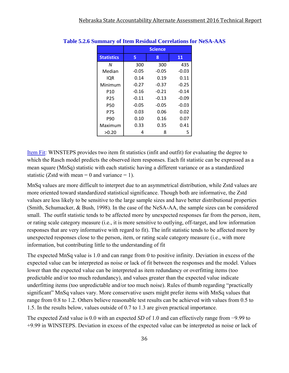|                   |         | <b>Science</b> |         |
|-------------------|---------|----------------|---------|
| <b>Statistics</b> | 5       | 8              | 11      |
| N                 | 300     | 300            | 435     |
| Median            | $-0.05$ | $-0.05$        | $-0.03$ |
| IQR               | 0.14    | 0.19           | 0.11    |
| Minimum           | $-0.27$ | $-0.37$        | $-0.25$ |
| <b>P10</b>        | $-0.16$ | $-0.21$        | -0.14   |
| P <sub>25</sub>   | $-0.11$ | $-0.13$        | $-0.09$ |
| <b>P50</b>        | $-0.05$ | $-0.05$        | $-0.03$ |
| P75               | 0.03    | 0.06           | 0.02    |
| P90               | 0.10    | 0.16           | 0.07    |
| Maximum           | 0.33    | 0.35           | 0.41    |
| >0.20             | 4       | 8              | 5       |

#### **Table 5.2.6 Summary of Item Residual Correlations for NeSA-AAS**

Item Fit: WINSTEPS provides two item fit statistics (infit and outfit) for evaluating the degree to which the Rasch model predicts the observed item responses. Each fit statistic can be expressed as a mean square (MnSq) statistic with each statistic having a different variance or as a standardized statistic (Zstd with mean = 0 and variance = 1).

MnSq values are more difficult to interpret due to an asymmetrical distribution, while Zstd values are more oriented toward standardized statistical significance. Though both are informative, the Zstd values are less likely to be sensitive to the large sample sizes and have better distributional properties (Smith, Schumacker, & Bush, 1998). In the case of the NeSA-AA, the sample sizes can be considered small. The outfit statistic tends to be affected more by unexpected responses far from the person, item, or rating scale category measure (i.e., it is more sensitive to outlying, off-target, and low information responses that are very informative with regard to fit). The infit statistic tends to be affected more by unexpected responses close to the person, item, or rating scale category measure (i.e., with more information, but contributing little to the understanding of fit

The expected MnSq value is 1.0 and can range from 0 to positive infinity. Deviation in excess of the expected value can be interpreted as noise or lack of fit between the responses and the model. Values lower than the expected value can be interpreted as item redundancy or overfitting items (too predictable and/or too much redundancy), and values greater than the expected value indicate underfitting items (too unpredictable and/or too much noise). Rules of thumb regarding "practically significant" MnSq values vary. More conservative users might prefer items with MnSq values that range from 0.8 to 1.2. Others believe reasonable test results can be achieved with values from 0.5 to 1.5. In the results below, values outside of 0.7 to 1.3 are given practical importance.

The expected Zstd value is 0.0 with an expected *SD* of 1.0 and can effectively range from −9.99 to +9.99 in WINSTEPS. Deviation in excess of the expected value can be interpreted as noise or lack of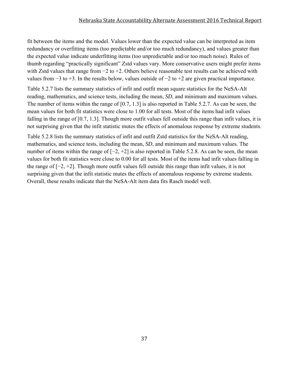#### Nebraska State Accountability Alternate Assessment 2016 Technical Report

fit between the items and the model. Values lower than the expected value can be interpreted as item redundancy or overfitting items (too predictable and/or too much redundancy), and values greater than the expected value indicate underfitting items (too unpredictable and/or too much noise). Rules of thumb regarding "practically significant" Zstd values vary. More conservative users might prefer items with Zstd values that range from −2 to +2. Others believe reasonable test results can be achieved with values from −3 to +3. In the results below, values outside of −2 to +2 are given practical importance.

Table 5.2.7 lists the summary statistics of infit and outfit mean square statistics for the NeSA-Alt reading, mathematics, and science tests, including the mean, *SD*, and minimum and maximum values. The number of items within the range of [0.7, 1.3] is also reported in Table 5.2.7. As can be seen, the mean values for both fit statistics were close to 1.00 for all tests. Most of the items had infit values falling in the range of [0.7, 1.3]. Though more outfit values fell outside this range than infit values, it is not surprising given that the infit statistic mutes the effects of anomalous response by extreme students.

Table 5.2.8 lists the summary statistics of infit and outfit Zstd statistics for the NeSA-Alt reading, mathematics, and science tests, including the mean, *SD*, and minimum and maximum values. The number of items within the range of  $[-2, +2]$  is also reported in Table 5.2.8. As can be seen, the mean values for both fit statistics were close to 0.00 for all tests. Most of the items had infit values falling in the range of [−2, +2]. Though more outfit values fell outside this range than infit values, it is not surprising given that the infit statistic mutes the effects of anomalous response by extreme students. Overall, these results indicate that the NeSA-Alt item data fits Rasch model well.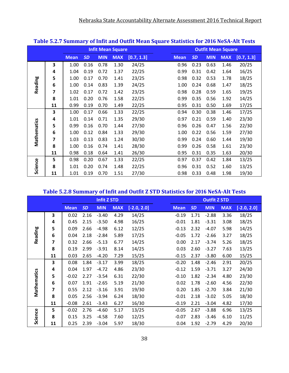|             |    |             |           |            |                          |            | - 7 |             |           |            |                           |            |
|-------------|----|-------------|-----------|------------|--------------------------|------------|-----|-------------|-----------|------------|---------------------------|------------|
|             |    |             |           |            | <b>Infit Mean Square</b> |            |     |             |           |            | <b>Outfit Mean Square</b> |            |
|             |    | <b>Mean</b> | <b>SD</b> | <b>MIN</b> | <b>MAX</b>               | [0.7, 1.3] |     | <b>Mean</b> | <b>SD</b> | <b>MIN</b> | <b>MAX</b>                | [0.7, 1.3] |
|             | 3  | 1.00        | 0.16      | 0.78       | 1.30                     | 24/25      |     | 0.96        | 0.23      | 0.63       | 1.46                      | 20/25      |
|             | 4  | 1.04        | 0.19      | 0.72       | 1.37                     | 22/25      |     | 0.99        | 0.31      | 0.42       | 1.64                      | 16/25      |
|             | 5  | 1.00        | 0.17      | 0.70       | 1.41                     | 23/25      |     | 0.98        | 0.32      | 0.53       | 1.78                      | 18/25      |
| Reading     | 6  | 1.00        | 0.14      | 0.83       | 1.39                     | 24/25      |     | 1.00        | 0.24      | 0.68       | 1.47                      | 18/25      |
|             | 7  | 1.02        | 0.17      | 0.72       | 1.42                     | 23/25      |     | 0.98        | 0.28      | 0.59       | 1.65                      | 19/25      |
|             | 8  | 1.01        | 0.20      | 0.76       | 1.58                     | 22/25      |     | 0.99        | 0.35      | 0.56       | 1.92                      | 14/25      |
|             | 11 | 0.99        | 0.19      | 0.70       | 1.49                     | 22/25      |     | 0.95        | 0.31      | 0.50       | 1.69                      | 17/25      |
|             | 3  | 1.00        | 0.17      | 0.66       | 1.33                     | 22/25      |     | 0.94        | 0.30      | 0.38       | 1.46                      | 17/25      |
|             | 4  | 1.01        | 0.14      | 0.71       | 1.35                     | 29/30      |     | 0.97        | 0.21      | 0.59       | 1.40                      | 23/30      |
|             | 5  | 0.99        | 0.16      | 0.70       | 1.44                     | 27/30      |     | 0.96        | 0.26      | 0.47       | 1.56                      | 22/30      |
| Mathematics | 6  | 1.00        | 0.12      | 0.84       | 1.33                     | 29/30      |     | 1.00        | 0.22      | 0.56       | 1.59                      | 27/30      |
|             | 7  | 1.03        | 0.13      | 0.83       | 1.24                     | 30/30      |     | 0.99        | 0.24      | 0.60       | 1.44                      | 19/30      |
|             | 8  | 1.00        | 0.16      | 0.74       | 1.41                     | 28/30      |     | 0.99        | 0.26      | 0.58       | 1.61                      | 23/30      |
|             | 11 | 0.98        | 0.18      | 0.64       | 1.41                     | 26/30      |     | 0.95        | 0.31      | 0.35       | 1.63                      | 20/30      |
|             | 5  | 0.98        | 0.20      | 0.67       | 1.33                     | 22/25      |     | 0.97        | 0.37      | 0.42       | 1.84                      | 13/25      |
| Science     | 8  | 1.01        | 0.20      | 0.74       | 1.48                     | 22/25      |     | 0.96        | 0.31      | 0.52       | 1.60                      | 13/25      |
|             | 11 | 1.01        | 0.19      | 0.70       | 1.51                     | 27/30      |     | 0.98        | 0.33      | 0.48       | 1.98                      | 19/30      |

### **Table 5.2.7 Summary of Infit and Outfit Mean Square Statistics for 2016 NeSA‐Alt Tests**

### **Table 5.2.8 Summary of Infit and Outfit Z STD Statistics for 2016 NeSA‐Alt Tests**

|             |    |             |           | <b>Infit Z STD</b> |            |               |             |           | <b>Outfit Z STD</b> |            |               |
|-------------|----|-------------|-----------|--------------------|------------|---------------|-------------|-----------|---------------------|------------|---------------|
|             |    | <b>Mean</b> | <b>SD</b> | <b>MIN</b>         | <b>MAX</b> | $[-2.0, 2.0]$ | <b>Mean</b> | <b>SD</b> | <b>MIN</b>          | <b>MAX</b> | $[-2.0, 2.0]$ |
|             | 3  | 0.02        | 2.16      | $-3.40$            | 4.29       | 14/25         | $-0.19$     | 1.71      | $-2.88$             | 3.36       | 18/25         |
|             | 4  | 0.45        | 2.15      | $-3.50$            | 4.98       | 16/25         | $-0.01$     | 1.81      | $-3.31$             | 3.08       | 18/25         |
|             | 5  | 0.09        | 2.66      | $-4.98$            | 6.12       | 12/25         | $-0.13$     | 2.32      | $-4.07$             | 5.98       | 14/25         |
| Reading     | 6  | 0.04        | 2.18      | $-2.84$            | 5.89       | 17/25         | $-0.05$     | 1.72      | $-2.66$             | 3.27       | 18/25         |
|             | 7  | 0.32        | 2.66      | $-5.13$            | 6.77       | 14/25         | 0.00        | 2.17      | $-3.74$             | 5.26       | 18/25         |
|             | 8  | 0.19        | 2.99      | $-3.91$            | 8.14       | 14/25         | 0.03        | 2.60      | $-3.27$             | 7.63       | 13/25         |
|             | 11 | 0.03        | 2.65      | $-4.20$            | 7.29       | 15/25         | $-0.15$     | 2.37      | $-3.80$             | 6.00       | 15/25         |
|             | 3  | 0.08        | 1.84      | $-3.17$            | 3.99       | 18/25         | $-0.20$     | 1.48      | $-2.46$             | 2.91       | 20/25         |
|             | 4  | 0.04        | 1.97      | $-4.72$            | 4.86       | 23/30         | $-0.12$     | 1.59      | $-3.71$             | 3.27       | 24/30         |
|             | 5  | $-0.02$     | 2.27      | $-3.54$            | 6.31       | 22/30         | $-0.10$     | 1.82      | $-2.34$             | 4.80       | 23/30         |
|             | 6  | 0.07        | 1.91      | $-2.65$            | 5.19       | 21/30         | 0.02        | 1.78      | $-2.60$             | 4.56       | 22/30         |
| Mathematics | 7  | 0.55        | 2.12      | $-3.16$            | 3.91       | 19/30         | 0.20        | 1.85      | $-2.70$             | 3.84       | 21/30         |
|             | 8  | 0.05        | 2.56      | $-3.94$            | 6.24       | 18/30         | $-0.01$     | 2.18      | $-3.02$             | 5.05       | 18/30         |
|             | 11 | $-0.08$     | 2.61      | $-3.43$            | 6.27       | 16/30         | $-0.19$     | 2.21      | $-3.04$             | 4.82       | 17/30         |
|             | 5  | $-0.02$     | 2.76      | $-4.60$            | 5.17       | 13/25         | $-0.05$     | 2.67      | $-3.88$             | 6.96       | 13/25         |
| Science     | 8  | 0.15        | 3.25      | $-4.58$            | 7.60       | 12/25         | $-0.07$     | 2.83      | $-3.46$             | 6.10       | 11/25         |
|             | 11 | 0.25        | 2.39      | $-3.04$            | 5.97       | 18/30         | 0.04        | 1.92      | $-2.79$             | 4.29       | 20/30         |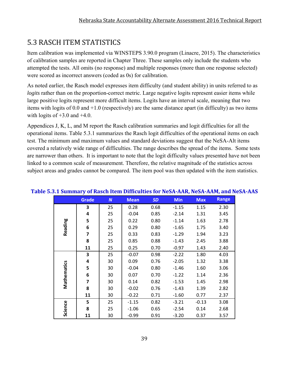### 5.3 RASCH ITEM STATISTICS

Item calibration was implemented via WINSTEPS 3.90.0 program (Linacre, 2015). The characteristics of calibration samples are reported in Chapter Three. These samples only include the students who attempted the tests. All omits (no response) and multiple responses (more than one response selected) were scored as incorrect answers (coded as 0s) for calibration.

As noted earlier, the Rasch model expresses item difficulty (and student ability) in units referred to as *logits* rather than on the proportion-correct metric. Large negative logits represent easier items while large positive logits represent more difficult items. Logits have an interval scale, meaning that two items with logits of 0.0 and +1.0 (respectively) are the same distance apart (in difficulty) as two items with logits of  $+3.0$  and  $+4.0$ .

Appendices J, K, L, and M report the Rasch calibration summaries and logit difficulties for all the operational items. Table 5.3.1 summarizes the Rasch logit difficulties of the operational items on each test. The minimum and maximum values and standard deviations suggest that the NeSA-Alt items covered a relatively wide range of difficulties. The range describes the spread of the items. Some tests are narrower than others. It is important to note that the logit difficulty values presented have not been linked to a common scale of measurement. Therefore, the relative magnitude of the statistics across subject areas and grades cannot be compared. The item pool was then updated with the item statistics.

|             | <b>Grade</b>            | $\boldsymbol{N}$ | <b>Mean</b> | <b>SD</b> | <b>Min</b> | <b>Max</b> | <b>Range</b> |
|-------------|-------------------------|------------------|-------------|-----------|------------|------------|--------------|
|             | 3                       | 25               | 0.28        | 0.68      | $-1.15$    | 1.15       | 2.30         |
|             | 4                       | 25               | $-0.04$     | 0.85      | $-2.14$    | 1.31       | 3.45         |
|             | 5                       | 25               | 0.22        | 0.80      | $-1.14$    | 1.63       | 2.78         |
| Reading     | 6                       | 25               | 0.29        | 0.80      | $-1.65$    | 1.75       | 3.40         |
|             | $\overline{\mathbf{z}}$ | 25               | 0.33        | 0.83      | $-1.29$    | 1.94       | 3.23         |
|             | 8                       | 25               | 0.85        | 0.88      | $-1.43$    | 2.45       | 3.88         |
|             | 11                      | 25               | 0.25        | 0.70      | $-0.97$    | 1.43       | 2.40         |
|             | 3                       | 25               | $-0.07$     | 0.98      | $-2.22$    | 1.80       | 4.03         |
|             | 4                       | 30               | 0.09        | 0.76      | $-2.05$    | 1.32       | 3.38         |
| Mathematics | 5                       | 30               | $-0.04$     | 0.80      | $-1.46$    | 1.60       | 3.06         |
|             | 6                       | 30               | 0.07        | 0.70      | $-1.22$    | 1.14       | 2.36         |
|             | $\overline{\mathbf{z}}$ | 30               | 0.14        | 0.82      | $-1.53$    | 1.45       | 2.98         |
|             | 8                       | 30               | $-0.02$     | 0.76      | $-1.43$    | 1.39       | 2.82         |
|             | 11                      | 30               | $-0.22$     | 0.71      | $-1.60$    | 0.77       | 2.37         |
|             | 5                       | 25               | $-1.15$     | 0.82      | $-3.21$    | $-0.13$    | 3.08         |
| Science     | 8                       | 25               | $-1.06$     | 0.65      | $-2.54$    | 0.14       | 2.68         |
|             | 11                      | 30               | $-0.99$     | 0.91      | $-3.20$    | 0.37       | 3.57         |

### **Table 5.3.1 Summary of Rasch Item Difficulties for NeSA‐AAR, NeSA‐AAM, and NeSA‐AAS**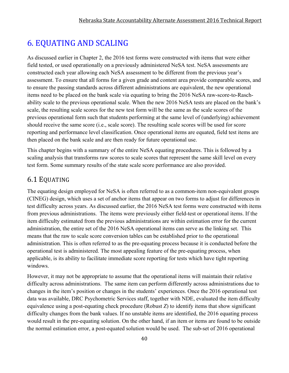### 6. EQUATING AND SCALING

As discussed earlier in Chapter 2, the 2016 test forms were constructed with items that were either field tested, or used operationally on a previously administered NeSA test. NeSA assessments are constructed each year allowing each NeSA assessment to be different from the previous year's assessment. To ensure that all forms for a given grade and content area provide comparable scores, and to ensure the passing standards across different administrations are equivalent, the new operational items need to be placed on the bank scale via equating to bring the 2016 NeSA raw-score-to-Raschability scale to the previous operational scale. When the new 2016 NeSA tests are placed on the bank's scale, the resulting scale scores for the new test form will be the same as the scale scores of the previous operational form such that students performing at the same level of (underlying) achievement should receive the same score (i.e., scale score). The resulting scale scores will be used for score reporting and performance level classification. Once operational items are equated, field test items are then placed on the bank scale and are then ready for future operational use.

This chapter begins with a summary of the entire NeSA equating procedures. This is followed by a scaling analysis that transforms raw scores to scale scores that represent the same skill level on every test form. Some summary results of the state scale score performance are also provided.

### 6.1 EQUATING

The equating design employed for NeSA is often referred to as a common-item non-equivalent groups (CINEG) design, which uses a set of anchor items that appear on two forms to adjust for differences in test difficulty across years. As discussed earlier, the 2016 NeSA test forms were constructed with items from previous administrations. The items were previously either field-test or operational items. If the item difficulty estimated from the previous administrations are within estimation error for the current administration, the entire set of the 2016 NeSA operational items can serve as the linking set. This means that the raw to scale score conversion tables can be established prior to the operational administration. This is often referred to as the pre-equating process because it is conducted before the operational test is administered. The most appealing feature of the pre-equating process, when applicable, is its ability to facilitate immediate score reporting for tests which have tight reporting windows.

However, it may not be appropriate to assume that the operational items will maintain their relative difficulty across administrations. The same item can perform differently across administrations due to changes in the item's position or changes in the students' experiences. Once the 2016 operational test data was available, DRC Psychometric Services staff, together with NDE, evaluated the item difficulty equivalence using a post-equating check procedure (Robust *Z*) to identify items that show significant difficulty changes from the bank values. If no unstable items are identified, the 2016 equating process would result in the pre-equating solution. On the other hand, if an item or items are found to be outside the normal estimation error, a post-equated solution would be used. The sub-set of 2016 operational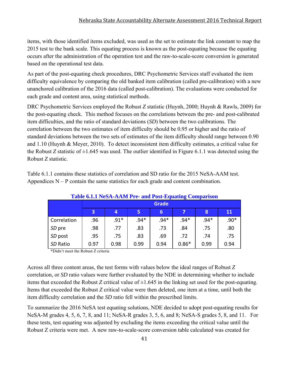#### Nebraska State Accountability Alternate Assessment 2016 Technical Report

items, with those identified items excluded, was used as the set to estimate the link constant to map the 2015 test to the bank scale. This equating process is known as the post-equating because the equating occurs after the administration of the operation test and the raw-to-scale-score conversion is generated based on the operational test data.

As part of the post-equating check procedures, DRC Psychometric Services staff evaluated the item difficulty equivalence by comparing the old banked item calibration (called pre-calibration) with a new unanchored calibration of the 2016 data (called post-calibration). The evaluations were conducted for each grade and content area, using statistical methods.

DRC Psychometric Services employed the Robust *Z* statistic (Huynh, 2000; Huynh & Rawls, 2009) for the post-equating check. This method focuses on the correlations between the pre- and post-calibrated item difficulties, and the ratio of standard deviations (*SD*) between the two calibrations. The correlation between the two estimates of item difficulty should be 0.95 or higher and the ratio of standard deviations between the two sets of estimates of the item difficulty should range between 0.90 and 1.10 (Huynh & Meyer, 2010). To detect inconsistent item difficulty estimates, a critical value for the Robust *Z* statistic of  $\pm 1.645$  was used. The outlier identified in Figure 6.1.1 was detected using the Robust *Z* statistic.

Table 6.1.1 contains these statistics of correlation and SD ratio for the 2015 NeSA-AAM test. Appendices  $N - P$  contain the same statistics for each grade and content combination.

|             |      |        |        | <b>Table 6.1.1 NeSA-AAM Pre- and Post-Equating Comparison</b> |         |        |        |
|-------------|------|--------|--------|---------------------------------------------------------------|---------|--------|--------|
|             |      |        |        | <b>Grade</b>                                                  |         |        |        |
|             | 3    | 4      | 5      | 6                                                             |         | 8      | 11     |
| Correlation | .96  | $.91*$ | $.94*$ | $.94*$                                                        | $.94*$  | $.94*$ | $.90*$ |
| SD pre      | .98  | .77    | .83    | .73                                                           | .84     | .75    | .80    |
| SD post     | .95  | .75    | .83    | .69                                                           | .72     | .74    | .75    |
| SD Ratio    | 0.97 | 0.98   | 0.99   | 0.94                                                          | $0.86*$ | 0.99   | 0.94   |

\*Didn't meet the Robust Z criteria

Across all three content areas, the test forms with values below the ideal ranges of Robust *Z* correlation, or *SD* ratio values were further evaluated by the NDE in determining whether to include items that exceeded the Robust *Z* critical value of  $\pm 1.645$  in the linking set used for the post-equating. Items that exceeded the Robust *Z* critical value were then deleted, one item at a time, until both the item difficulty correlation and the *SD* ratio fell within the prescribed limits.

To summarize the 2016 NeSA test equating solutions, NDE decided to adopt post-equating results for NeSA-M grades 4, 5, 6, 7, 8, and 11; NeSA-R grades 3, 5, 6, and 8; NeSA-S grades 5, 8, and 11. For these tests, test equating was adjusted by excluding the items exceeding the critical value until the Robust Z criteria were met. A new raw-to-scale-score conversion table calculated was created for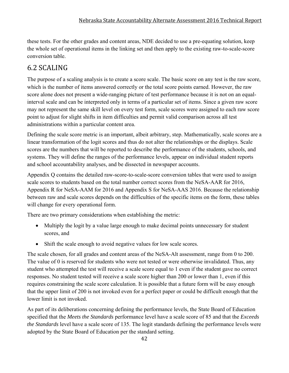these tests. For the other grades and content areas, NDE decided to use a pre-equating solution, keep the whole set of operational items in the linking set and then apply to the existing raw-to-scale-score conversion table.

### 6.2 SCALING

The purpose of a scaling analysis is to create a score scale. The basic score on any test is the raw score, which is the number of items answered correctly or the total score points earned. However, the raw score alone does not present a wide-ranging picture of test performance because it is not on an equalinterval scale and can be interpreted only in terms of a particular set of items. Since a given raw score may not represent the same skill level on every test form, scale scores were assigned to each raw score point to adjust for slight shifts in item difficulties and permit valid comparison across all test administrations within a particular content area.

Defining the scale score metric is an important, albeit arbitrary, step. Mathematically, scale scores are a linear transformation of the logit scores and thus do not alter the relationships or the displays. Scale scores are the numbers that will be reported to describe the performance of the students, schools, and systems. They will define the ranges of the performance levels, appear on individual student reports and school accountability analyses, and be dissected in newspaper accounts.

Appendix Q contains the detailed raw-score-to-scale-score conversion tables that were used to assign scale scores to students based on the total number correct scores from the NeSA-AAR for 2016, Appendix R for NeSA-AAM for 2016 and Appendix S for NeSA-AAS 2016. Because the relationship between raw and scale scores depends on the difficulties of the specific items on the form, these tables will change for every operational form.

There are two primary considerations when establishing the metric:

- Multiply the logit by a value large enough to make decimal points unnecessary for student scores, and
- Shift the scale enough to avoid negative values for low scale scores.

The scale chosen, for all grades and content areas of the NeSA-Alt assessment, range from 0 to 200. The value of 0 is reserved for students who were not tested or were otherwise invalidated. Thus, any student who attempted the test will receive a scale score equal to 1 even if the student gave no correct responses. No student tested will receive a scale score higher than 200 or lower than 1, even if this requires constraining the scale score calculation. It is possible that a future form will be easy enough that the upper limit of 200 is not invoked even for a perfect paper or could be difficult enough that the lower limit is not invoked.

As part of its deliberations concerning defining the performance levels, the State Board of Education specified that the *Meets the Standards* performance level have a scale score of 85 and that the *Exceeds the Standards* level have a scale score of 135. The logit standards defining the performance levels were adopted by the State Board of Education per the standard setting.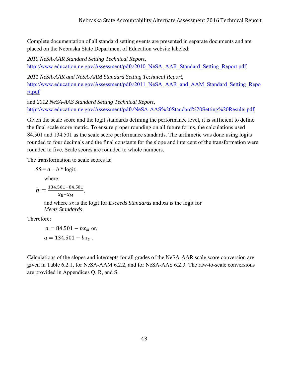Complete documentation of all standard setting events are presented in separate documents and are placed on the Nebraska State Department of Education website labeled:

*2010 NeSA-AAR Standard Setting Technical Report*, http://www.education.ne.gov/Assessment/pdfs/2010\_NeSA\_AAR\_Standard\_Setting\_Report.pdf

*2011 NeSA-AAR and NeSA-AAM Standard Setting Technical Report*, http://www.education.ne.gov/Assessment/pdfs/2011 NeSA AAR and AAM Standard Setting Repo rt.pdf

and *2012 NeSA-AAS Standard Setting Technical Report*, http://www.education.ne.gov/Assessment/pdfs/NeSA-AAS%20Standard%20Setting%20Results.pdf

Given the scale score and the logit standards defining the performance level, it is sufficient to define the final scale score metric. To ensure proper rounding on all future forms, the calculations used 84.501 and 134.501 as the scale score performance standards. The arithmetic was done using logits rounded to four decimals and the final constants for the slope and intercept of the transformation were rounded to five. Scale scores are rounded to whole numbers.

The transformation to scale scores is:

$$
SS = a + b * \text{logit},
$$

where:

$$
b = \frac{134.501 - 84.501}{x_E - x_M},
$$

 and where *xE* is the logit for *Exceeds Standards* and *xM* is the logit for *Meets Standards*.

Therefore:

 $a = 84.501 - bx_M$  or,  $a = 134.501 - bx_F$ .

Calculations of the slopes and intercepts for all grades of the NeSA-AAR scale score conversion are given in Table 6.2.1, for NeSA-AAM 6.2.2, and for NeSA-AAS 6.2.3. The raw-to-scale conversions are provided in Appendices Q, R, and S.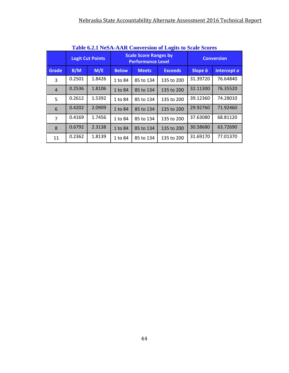|                |        | <b>Logit Cut Points</b> |              | THEIR VIEW TWO/INTERNATIONAL CONVERSION OF LOCALS TO DUAIL DUOI US<br><b>Scale Score Ranges by</b><br><b>Performance Level</b> | <b>Conversion</b> |          |             |
|----------------|--------|-------------------------|--------------|--------------------------------------------------------------------------------------------------------------------------------|-------------------|----------|-------------|
| Grade          | B/M    | M/E                     | <b>Below</b> | <b>Meets</b>                                                                                                                   | <b>Exceeds</b>    | Slope b  | Intercept a |
| $\overline{3}$ | 0.2501 | 1.8426                  | 1 to 84      | 85 to 134                                                                                                                      | 135 to 200        | 31.39720 | 76.64840    |
| $\overline{4}$ | 0.2536 | 1.8106                  | 1 to 84      | 85 to 134                                                                                                                      | 135 to 200        | 32.11300 | 76.35520    |
| 5              | 0.2612 | 1.5392                  | 1 to 84      | 85 to 134                                                                                                                      | 135 to 200        | 39.12360 | 74.28010    |
| 6              | 0.4202 | 2.0909                  | 1 to 84      | 85 to 134                                                                                                                      | 135 to 200        | 29.92760 | 71.92460    |
| 7              | 0.4169 | 1.7456                  | 1 to 84      | 85 to 134                                                                                                                      | 135 to 200        | 37.63080 | 68.81120    |
| 8              | 0.6792 | 2.3138                  | 1 to 84      | 85 to 134                                                                                                                      | 135 to 200        | 30.58680 | 63.72690    |
| 11             | 0.2362 | 1.8139                  | 1 to 84      | 85 to 134                                                                                                                      | 135 to 200        | 31.69170 | 77.01370    |

**Table 6.2.1 NeSA-AAR Conversion of Logits to Scale Scores**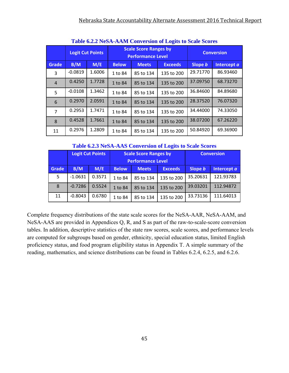|                |           | Table 0.2.2 INDIVITATIVE CONVERSION OF LOCKS to Deale Deoles |              |                                                          |                   |          |             |  |  |  |  |  |
|----------------|-----------|--------------------------------------------------------------|--------------|----------------------------------------------------------|-------------------|----------|-------------|--|--|--|--|--|
|                |           | <b>Logit Cut Points</b>                                      |              | <b>Scale Score Ranges by</b><br><b>Performance Level</b> | <b>Conversion</b> |          |             |  |  |  |  |  |
| Grade          | B/M       | M/E                                                          | <b>Below</b> | <b>Meets</b>                                             | <b>Exceeds</b>    | Slope b  | Intercept a |  |  |  |  |  |
| 3              | $-0.0819$ | 1.6006                                                       | 1 to 84      | 85 to 134                                                | 135 to 200        | 29.71770 | 86.93460    |  |  |  |  |  |
| $\overline{4}$ | 0.4250    | 1.7728                                                       | 1 to 84      | 85 to 134                                                | 135 to 200        | 37.09750 | 68.73270    |  |  |  |  |  |
| 5              | $-0.0108$ | 1.3462                                                       | 1 to 84      | 85 to 134                                                | 135 to 200        | 36.84600 | 84.89680    |  |  |  |  |  |
| 6              | 0.2970    | 2.0591                                                       | 1 to 84      | 85 to 134                                                | 135 to 200        | 28.37520 | 76.07320    |  |  |  |  |  |
| $\overline{7}$ | 0.2953    | 1.7471                                                       | 1 to 84      | 85 to 134                                                | 135 to 200        | 34.44000 | 74.33050    |  |  |  |  |  |
| 8              | 0.4528    | 1.7661                                                       | 1 to 84      | 85 to 134                                                | 135 to 200        | 38.07200 | 67.26220    |  |  |  |  |  |
| 11             | 0.2976    | 1.2809                                                       | 1 to 84      | 85 to 134                                                | 135 to 200        | 50.84920 | 69.36900    |  |  |  |  |  |

**Table 6.2.2 NeSA-AAM Conversion of Logits to Scale Scores**

#### **Table 6.2.3 NeSA-AAS Conversion of Logits to Scale Scores**

|       |           | <b>Logit Cut Points</b> |              | <b>Scale Score Ranges by</b> | <b>Conversion</b> |             |           |
|-------|-----------|-------------------------|--------------|------------------------------|-------------------|-------------|-----------|
|       |           |                         |              | <b>Performance Level</b>     |                   |             |           |
| Grade | B/M       | M/E                     | <b>Below</b> | <b>Meets</b>                 | Slope b           | Intercept a |           |
| 5.    | $-1.0631$ | 0.3571                  | 1 to 84      | 85 to 134                    | 135 to 200        | 35.20631    | 121.93783 |
| 8     | $-0.7286$ | 0.5524                  | 1 to 84      | 135 to 200<br>85 to 134      |                   |             | 112.94872 |
| 11    | $-0.8043$ | 0.6780                  | 1 to 84      | 85 to 134                    | 135 to 200        | 33.73136    | 111.64013 |

Complete frequency distributions of the state scale scores for the NeSA-AAR, NeSA-AAM, and NeSA-AAS are provided in Appendices Q, R, and S as part of the raw-to-scale-score conversion tables. In addition, descriptive statistics of the state raw scores, scale scores, and performance levels are computed for subgroups based on gender, ethnicity, special education status, limited English proficiency status, and food program eligibility status in Appendix T. A simple summary of the reading, mathematics, and science distributions can be found in Tables 6.2.4, 6.2.5, and 6.2.6.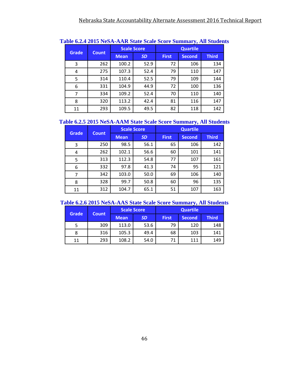| <b>Grade</b> |              |             | <b>Scale Score</b> |              |               |              |
|--------------|--------------|-------------|--------------------|--------------|---------------|--------------|
|              | <b>Count</b> | <b>Mean</b> | <b>SD</b>          | <b>First</b> | <b>Second</b> | <b>Third</b> |
| 3            | 262          | 100.2       | 52.9               | 72           | 106           | 134          |
| 4            | 275          | 107.3       | 52.4               | 79           | 110           | 147          |
| 5            | 314          | 110.4       | 52.5               | 79           | 109           | 144          |
| 6            | 331          | 104.9       | 44.9               | 72           | 100           | 136          |
|              | 334          | 109.2       | 52.4               | 70           | 110           | 140          |
| 8            | 320          | 113.2       | 42.4               | 81           | 116           | 147          |
| 11           | 293          | 109.5       | 49.5               | 82           | 118           | 142          |

#### **Table 6.2.4 2015 NeSA-AAR State Scale Score Summary, All Students**

### **Table 6.2.5 2015 NeSA-AAM State Scale Score Summary, All Students**

| <b>Grade</b> |              |             | <b>Scale Score</b> | <b>Quartile</b> |               |              |  |  |
|--------------|--------------|-------------|--------------------|-----------------|---------------|--------------|--|--|
|              | <b>Count</b> | <b>Mean</b> | <b>SD</b>          | <b>First</b>    | <b>Second</b> | <b>Third</b> |  |  |
| 3            | 250          | 98.5        | 56.1               | 65              | 106           | 142          |  |  |
| 4            | 262          | 102.1       | 56.6               | 60              | 101           | 141          |  |  |
| 5            | 313          | 112.3       | 54.8               | 77              | 107           | 161          |  |  |
| 6            | 332          | 97.8        | 41.3               | 74              | 95            | 121          |  |  |
|              | 342          | 103.0       | 50.0               | 69              | 106           | 140          |  |  |
| 8            | 328          | 99.7        | 50.8               | 60              | 96            | 135          |  |  |
| 11           | 312          | 104.7       | 65.1               | 51              | 107           | 163          |  |  |

#### **Table 6.2.6 2015 NeSA-AAS State Scale Score Summary, All Students**

|              | <b>Count</b> |             | <b>Scale Score</b> | <b>Quartile</b> |               |              |  |  |
|--------------|--------------|-------------|--------------------|-----------------|---------------|--------------|--|--|
| <b>Grade</b> |              | <b>Mean</b> | <b>SD</b>          | <b>First</b>    | <b>Second</b> | <b>Third</b> |  |  |
| 5            | 309          | 113.0       | 53.6               | 79              | 120           | 148          |  |  |
| 8            | 316          | 105.3       | 49.4               | 68              | 103           | 141          |  |  |
| 11           | 293          | 108.2       | 54.0               |                 | 111           | 149          |  |  |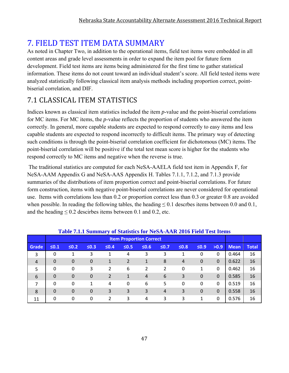### **7. FIELD TEST ITEM DATA SUMMARY**

As noted in Chapter Two, in addition to the operational items, field test items were embedded in all content areas and grade level assessments in order to expand the item pool for future form development. Field test items are items being administered for the first time to gather statistical information. These items do not count toward an individual student's score. All field tested items were analyzed statistically following classical item analysis methods including proportion correct, pointbiserial correlation, and DIF.

### 7.1 CLASSICAL ITEM STATISTICS

Indices known as classical item statistics included the item *p*-value and the point-biserial correlations for MC items. For MC items, the *p*-value reflects the proportion of students who answered the item correctly. In general, more capable students are expected to respond correctly to easy items and less capable students are expected to respond incorrectly to difficult items. The primary way of detecting such conditions is through the point-biserial correlation coefficient for dichotomous (MC) items. The point-biserial correlation will be positive if the total test mean score is higher for the students who respond correctly to MC items and negative when the reverse is true.

 The traditional statistics are computed for each NeSA-AAELA field test item in Appendix F, for NeSA-AAM Appendix G and NeSA-AAS Appendix H. Tables 7.1.1, 7.1.2, and 7.1.3 provide summaries of the distributions of item proportion correct and point-biserial correlations. For future form construction, items with negative point-biserial correlations are never considered for operational use. Items with correlations less than 0.2 or proportion correct less than 0.3 or greater 0.8 are avoided when possible. In reading the following tables, the heading  $\leq 0.1$  descrbes items between 0.0 and 0.1, and the heading  $\leq 0.2$  descirbes items between 0.1 and 0.2, etc.

|                |            | <b>Table 7.1.1 Summary of Statistics for NeSA-AAK 2010 FIERT LEST REMS</b> |                |                |            | <b>Item Proportion Correct</b> |                |                |            |          |             |              |
|----------------|------------|----------------------------------------------------------------------------|----------------|----------------|------------|--------------------------------|----------------|----------------|------------|----------|-------------|--------------|
| Grade          | $\leq 0.1$ | $\leq 0.2$                                                                 | $\leq 0.3$     | $\leq 0.4$     | $\leq 0.5$ | $\leq 0.6$                     | $\leq 0.7$     | $\leq 0.8$     | $\leq 0.9$ | >0.9     | <b>Mean</b> | <b>Total</b> |
| 3              | $\Omega$   |                                                                            | 3              |                | 4          | 3                              | 3              | 1              | 0          | $\Omega$ | 0.464       | 16           |
| $\overline{4}$ | $\Omega$   | $\Omega$                                                                   | $\overline{0}$ | 1              | 2          | 1                              | 8              | $\overline{4}$ | 0          | $\Omega$ | 0.622       | 16           |
| 5              | $\Omega$   | 0                                                                          | 3              | $\overline{2}$ | 6          | 2                              | $\overline{2}$ | 0              | 1          | $\Omega$ | 0.462       | 16           |
| 6              | $\Omega$   | $\Omega$                                                                   | $\overline{0}$ | $\overline{2}$ | 1          | 4                              | 6              | 3              | 0          | $\Omega$ | 0.585       | 16           |
| 7              | $\Omega$   | $\Omega$                                                                   | 1              | 4              | 0          | 6                              | 5              | 0              | $\Omega$   | $\Omega$ | 0.519       | 16           |
| 8              | $\Omega$   | $\mathbf 0$                                                                | $\overline{0}$ | 3              | 3          | 3                              | $\overline{4}$ | 3              | 0          | $\Omega$ | 0.558       | 16           |
| 11             | $\Omega$   | 0                                                                          | 0              | $\overline{2}$ | 3          | 4                              | 3              | 3              | 1          | $\Omega$ | 0.576       | 16           |

### **Table 7.1.1 Summary of Statistics for NeSA-AAR 2016 Field Test Items**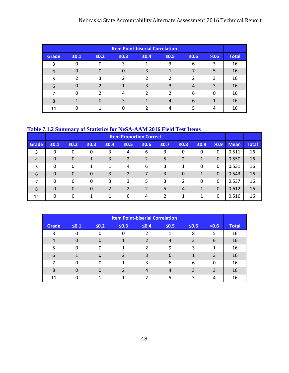### Nebraska State Accountability Alternate Assessment 2016 Technical Report

|              |               |            |               | <b>Item Point-biserial Correlation</b> |            |            |          |              |
|--------------|---------------|------------|---------------|----------------------------------------|------------|------------|----------|--------------|
| <b>Grade</b> | $\leq 0.1$    | $\leq 0.2$ | $\leq 0.3$    | $\leq 0.4$                             | $\leq 0.5$ | $\leq 0.6$ | >0.6     | <b>Total</b> |
| 3            | 0             |            | 3             |                                        | 3          | 6          | 3        | 16           |
| 4            | $\Omega$      | O          | $\Omega$      | 3                                      |            |            | 5        | 16           |
| 5            | $\mathcal{P}$ | 3          | $\mathcal{P}$ | 2                                      | っ          | 2          | 3        | 16           |
| 6            | $\Omega$      |            |               | 3                                      | 3          | 4          | 3        | 16           |
| 7            | $\Omega$      | າ          | 4             | 2                                      | っ          | 6          | $\Omega$ | 16           |
| 8            |               | ∩          | 3             |                                        |            | 6          |          | 16           |
| 11           | n             |            | ∩             |                                        |            | 5          | 4        | 16           |

#### **Table 7.1.2 Summary of Statistics for NeSA-AAM 2016 Field Test Items**

|                |                |             |                  |        |                | <b>Item Proportion Correct</b> |        |                |            |             |             |              |
|----------------|----------------|-------------|------------------|--------|----------------|--------------------------------|--------|----------------|------------|-------------|-------------|--------------|
| Grade          | $\leq 0.1$     | $\leq 0.2$  | $\leq 0.3$       | $≤0.4$ | $\leq 0.5$     | $\leq 0.6$                     | $≤0.7$ | $\leq 0.8$     | $\leq 0.9$ | >0.9        | <b>Mean</b> | <b>Total</b> |
| 3              | 0              | 0           | 0                | 3      | 4              | 6                              | 3      | $\mathbf 0$    | 0          | 0           | 0.511       | 16           |
| $\overline{4}$ | $\overline{0}$ | $\mathbf 0$ | 1                | 3      | $\overline{2}$ | 2                              | 5      | $\overline{2}$ | 1          | $\mathbf 0$ | 0.550       | 16           |
| 5              | $\mathbf{0}$   | 0           | 1                | 1      | 4              | 6                              | 3      | 1              | 0          | 0           | 0.531       | 16           |
| 6              | $\Omega$       | $\mathbf 0$ | $\boldsymbol{0}$ | 3      | $\overline{2}$ | 7                              | 3      | $\mathbf 0$    | 1          | $\mathbf 0$ | 0.543       | 16           |
| 7              | $\Omega$       | 0           | 0                | 3      | 3              | 5                              | 3      | 2              | 0          | 0           | 0.537       | 16           |
| 8              | $\Omega$       | $\mathbf 0$ | $\overline{0}$   | 2      | 2              | 2                              | 5      | 4              | 1          | $\mathbf 0$ | 0.612       | 16           |
| 11             | 0              | 0           | 1                | 1      | 6              | 4                              | 2      |                | 1          | 0           | 0.516       | 16           |

|       |            |            |            | <b>Item Point-biserial Correlation</b> |            |            |      |              |
|-------|------------|------------|------------|----------------------------------------|------------|------------|------|--------------|
| Grade | $\leq 0.1$ | $\leq 0.2$ | $\leq 0.3$ | $\leq 0.4$                             | $\leq 0.5$ | $\leq 0.6$ | >0.6 | <b>Total</b> |
| 3     | 0          |            | $\Omega$   | 2                                      |            | 8          | 5    | 16           |
| 4     | $\Omega$   | n          | и          | $\overline{2}$                         | 4          | 3          | 6    | 16           |
| 5     | 0          | O          | 4          | 2                                      | 9          | 3          | 1    | 16           |
| 6     |            |            | 2          | 3                                      | 6          | 1          | 3    | 16           |
|       | O          | U          |            | 3                                      | 6          | 6          | 0    | 16           |
| 8     | $\Omega$   |            |            | 4                                      | 4          | 3          | 3    | 16           |
| 11    |            |            |            |                                        |            | ς          | 4    | 16           |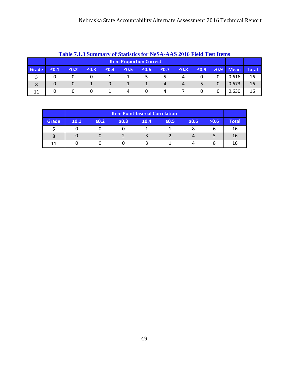|       | <b>Table 7.1.3 Summary of Statistics for NeSA-AAS 2016 Field Test Items</b> |                                                                                                                             |   |   |   |   |                |                |  |  |       |    |  |
|-------|-----------------------------------------------------------------------------|-----------------------------------------------------------------------------------------------------------------------------|---|---|---|---|----------------|----------------|--|--|-------|----|--|
|       |                                                                             | <b>Item Proportion Correct</b>                                                                                              |   |   |   |   |                |                |  |  |       |    |  |
| Grade | $\leq 0.1$                                                                  | $\leq 0.8$<br>$\leq 0.7$<br>$\leq 0.2$<br>$\leq 0.3$<br>$\leq 0.5$<br>$\leq 0.6$<br>$\leq 0.9$<br>$>0.9$ Mean<br>$\leq 0.4$ |   |   |   |   |                |                |  |  |       |    |  |
|       |                                                                             |                                                                                                                             |   |   |   |   | 5.             | 4              |  |  | 0.616 | 16 |  |
| 8     |                                                                             |                                                                                                                             |   | 0 |   |   | $\overline{4}$ | $\overline{4}$ |  |  | 0.673 | 16 |  |
| 11    | 0                                                                           |                                                                                                                             | 0 |   | 4 | 0 | 4              |                |  |  | 0.630 | 16 |  |

### **Table 7.1.3 Summary of Statistics for NeSA-AAS 2016 Field Test Items**

|       |            | <b>Item Point-biserial Correlation</b> |            |            |            |            |      |              |  |  |  |  |
|-------|------------|----------------------------------------|------------|------------|------------|------------|------|--------------|--|--|--|--|
| Grade | $\leq 0.1$ | $\leq 0.2$                             | $\leq 0.3$ | $\leq 0.4$ | $\leq 0.5$ | $\leq 0.6$ | >0.6 | <b>Total</b> |  |  |  |  |
|       |            |                                        |            |            |            |            |      | 16           |  |  |  |  |
| 8     |            |                                        |            | 3          |            |            |      | 16           |  |  |  |  |
| 11    |            |                                        |            |            |            |            |      | 16           |  |  |  |  |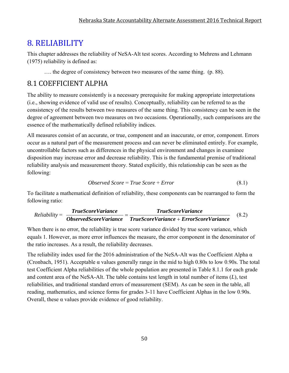### 8. RELIABILITY

This chapter addresses the reliability of NeSA-Alt test scores. According to Mehrens and Lehmann (1975) reliability is defined as:

…. the degree of consistency between two measures of the same thing. (p. 88).

### 8.1 COEFFICIENT ALPHA

The ability to measure consistently is a necessary prerequisite for making appropriate interpretations (i.e., showing evidence of valid use of results). Conceptually, reliability can be referred to as the consistency of the results between two measures of the same thing. This consistency can be seen in the degree of agreement between two measures on two occasions. Operationally, such comparisons are the essence of the mathematically defined reliability indices.

All measures consist of an accurate, or true, component and an inaccurate, or error, component. Errors occur as a natural part of the measurement process and can never be eliminated entirely. For example, uncontrollable factors such as differences in the physical environment and changes in examinee disposition may increase error and decrease reliability. This is the fundamental premise of traditional reliability analysis and measurement theory. Stated explicitly, this relationship can be seen as the following:

$$
Observed Score = True Score + Error
$$
\n
$$
(8.1)
$$

To facilitate a mathematical definition of reliability, these components can be rearranged to form the following ratio:

$$
Reliability = \frac{TrueScoreVariance}{ObservedScoreVariance} = \frac{TrueScoreVariance}{TrueScoreVariance + ErrorScoreVariance}
$$
(8.2)

When there is no error, the reliability is true score variance divided by true score variance, which equals 1. However, as more error influences the measure, the error component in the denominator of the ratio increases. As a result, the reliability decreases.

The reliability index used for the 2016 administration of the NeSA-Alt was the Coefficient Alpha  $\alpha$ (Cronbach, 1951). Acceptable α values generally range in the mid to high 0.80s to low 0.90s. The total test Coefficient Alpha reliabilities of the whole population are presented in Table 8.1.1 for each grade and content area of the NeSA-Alt. The table contains test length in total number of items (*L*), test reliabilities, and traditional standard errors of measurement (SEM). As can be seen in the table, all reading, mathematics, and science forms for grades 3-11 have Coefficient Alphas in the low 0.90s. Overall, these α values provide evidence of good reliability.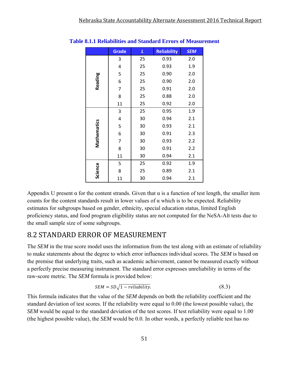|             | <b>Grade</b> | L  | <b>Reliability</b> | <b>SEM</b> |
|-------------|--------------|----|--------------------|------------|
|             | 3            | 25 | 0.93               | 2.0        |
|             | 4            | 25 | 0.93               | 1.9        |
|             | 5            | 25 | 0.90               | 2.0        |
| Reading     | 6            | 25 | 0.90               | 2.0        |
|             | 7            | 25 | 0.91               | 2.0        |
|             | 8            | 25 | 0.88               | 2.0        |
|             | 11           | 25 | 0.92               | 2.0        |
|             | 3            | 25 | 0.95               | 1.9        |
|             | 4            | 30 | 0.94               | 2.1        |
|             | 5            | 30 | 0.93               | 2.1        |
|             | 6            | 30 | 0.91               | 2.3        |
| Mathematics | 7            | 30 | 0.93               | 2.2        |
|             | 8            | 30 | 0.91               | 2.2        |
|             | 11           | 30 | 0.94               | 2.1        |
|             | 5            | 25 | 0.92               | 1.9        |
| Science     | 8            | 25 | 0.89               | 2.1        |
|             | 11           | 30 | 0.94               | 2.1        |

#### **Table 8.1.1 Reliabilities and Standard Errors of Measurement**

Appendix U present  $\alpha$  for the content strands. Given that  $\alpha$  is a function of test length, the smaller item counts for the content standards result in lower values of  $\alpha$  which is to be expected. Reliability estimates for subgroups based on gender, ethnicity, special education status, limited English proficiency status, and food program eligibility status are not computed for the NeSA-Alt tests due to the small sample size of some subgroups.

### 8.2 STANDARD ERROR OF MEASUREMENT

The *SEM* in the true score model uses the information from the test along with an estimate of reliability to make statements about the degree to which error influences individual scores. The *SEM* is based on the premise that underlying traits, such as academic achievement, cannot be measured exactly without a perfectly precise measuring instrument. The standard error expresses unreliability in terms of the raw-score metric. The *SEM* formula is provided below:

$$
SEM = SD\sqrt{1 - reliability}.
$$
\n(8.3)

This formula indicates that the value of the *SEM* depends on both the reliability coefficient and the standard deviation of test scores. If the reliability were equal to 0.00 (the lowest possible value), the *SEM* would be equal to the standard deviation of the test scores. If test reliability were equal to 1.00 (the highest possible value), the *SEM* would be 0.0. In other words, a perfectly reliable test has no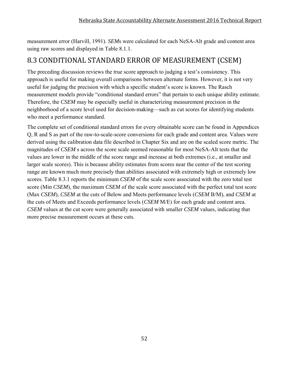measurement error (Harvill, 1991). *SEM*s were calculated for each NeSA-Alt grade and content area using raw scores and displayed in Table 8.1.1.

### 8.3 CONDITIONAL STANDARD ERROR OF MEASUREMENT (CSEM)

The preceding discussion reviews the true score approach to judging a test's consistency. This approach is useful for making overall comparisons between alternate forms. However, it is not very useful for judging the precision with which a specific student's score is known. The Rasch measurement models provide "conditional standard errors" that pertain to each unique ability estimate. Therefore, the *CSEM* may be especially useful in characterizing measurement precision in the neighborhood of a score level used for decision-making—such as cut scores for identifying students who meet a performance standard.

The complete set of conditional standard errors for every obtainable score can be found in Appendices Q, R and S as part of the raw-to-scale-score conversions for each grade and content area. Values were derived using the calibration data file described in Chapter Six and are on the scaled score metric. The magnitudes of *CSEM* s across the score scale seemed reasonable for most NeSA-Alt tests that the values are lower in the middle of the score range and increase at both extremes (i.e., at smaller and larger scale scores). This is because ability estimates from scores near the center of the test scoring range are known much more precisely than abilities associated with extremely high or extremely low scores. Table 8.3.1 reports the minimum *CSEM* of the scale score associated with the zero total test score (Min *CSEM*), the maximum *CSEM* of the scale score associated with the perfect total test score (Max *CSEM*), *CSEM* at the cuts of Below and Meets performance levels (*CSEM* B/M), and *CSEM* at the cuts of Meets and Exceeds performance levels (*CSEM* M/E) for each grade and content area. *CSEM* values at the cut score were generally associated with smaller *CSEM* values, indicating that more precise measurement occurs at these cuts.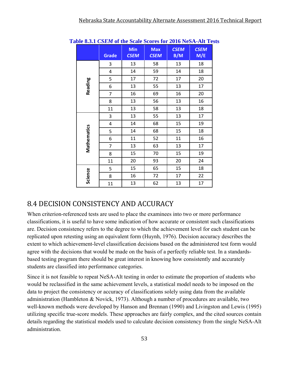|             | <b>Grade</b> | Min<br><b>CSEM</b> | <b>Max</b><br><b>CSEM</b> | <b>CSEM</b><br>B/M | <b>CSEM</b><br>M/E |
|-------------|--------------|--------------------|---------------------------|--------------------|--------------------|
|             | 3            | 13                 | 58                        | 13                 | 18                 |
|             | 4            | 14                 | 59                        | 14                 | 18                 |
|             | 5            | 17                 | 72                        | 17                 | 20                 |
| Reading     | 6            | 13                 | 55                        | 13                 | 17                 |
|             | 7            | 16                 | 69                        | 16                 | 20                 |
|             | 8            | 13                 | 56                        | 13                 | 16                 |
|             | 11           | 13                 | 58                        | 13                 | 18                 |
|             | 3            | 13                 | 55                        | 13                 | 17                 |
|             | 4            | 14                 | 68                        | 15                 | 19                 |
| Mathematics | 5            | 14                 | 68                        | 15                 | 18                 |
|             | 6            | 11                 | 52                        | 11                 | 16                 |
|             | 7            | 13                 | 63                        | 13                 | 17                 |
|             | 8            | 15                 | 70                        | 15                 | 19                 |
|             | 11           | 20                 | 93                        | 20                 | 24                 |
|             | 5            | 15                 | 65                        | 15                 | 18                 |
| Science     | 8            | 16                 | 72                        | 17                 | 22                 |
|             | 11           | 13                 | 62                        | 13                 | 17                 |

**Table 8.3.1** *CSEM* **of the Scale Scores for 2016 NeSA-Alt Tests** 

### 8.4 DECISION CONSISTENCY AND ACCURACY

When criterion-referenced tests are used to place the examinees into two or more performance classifications, it is useful to have some indication of how accurate or consistent such classifications are. Decision consistency refers to the degree to which the achievement level for each student can be replicated upon retesting using an equivalent form (Huynh, 1976). Decision accuracy describes the extent to which achievement-level classification decisions based on the administered test form would agree with the decisions that would be made on the basis of a perfectly reliable test. In a standardsbased testing program there should be great interest in knowing how consistently and accurately students are classified into performance categories.

Since it is not feasible to repeat NeSA-Alt testing in order to estimate the proportion of students who would be reclassified in the same achievement levels, a statistical model needs to be imposed on the data to project the consistency or accuracy of classifications solely using data from the available administration (Hambleton & Novick, 1973). Although a number of procedures are available, two well-known methods were developed by Hanson and Brennan (1990) and Livingston and Lewis (1995) utilizing specific true-score models. These approaches are fairly complex, and the cited sources contain details regarding the statistical models used to calculate decision consistency from the single NeSA-Alt administration.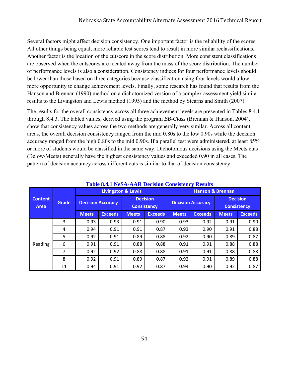#### Nebraska State Accountability Alternate Assessment 2016 Technical Report

Several factors might affect decision consistency. One important factor is the reliability of the scores. All other things being equal, more reliable test scores tend to result in more similar reclassifications. Another factor is the location of the cutscore in the score distribution. More consistent classifications are observed when the cutscores are located away from the mass of the score distribution. The number of performance levels is also a consideration. Consistency indices for four performance levels should be lower than those based on three categories because classification using four levels would allow more opportunity to change achievement levels. Finally, some research has found that results from the Hanson and Brennan (1990) method on a dichotomized version of a complex assessment yield similar results to the Livingston and Lewis method (1995) and the method by Stearns and Smith (2007).

The results for the overall consistency across all three achievement levels are presented in Tables 8.4.1 through 8.4.3. The tabled values, derived using the program *BB-Class* (Brennan & Hanson, 2004), show that consistency values across the two methods are generally very similar. Across all content areas, the overall decision consistency ranged from the mid 0.80s to the low 0.90s while the decision accuracy ranged from the high 0.80s to the mid 0.90s. If a parallel test were administered, at least 85% or more of students would be classified in the same way. Dichotomous decisions using the Meets cuts (Below/Meets) generally have the highest consistency values and exceeded 0.90 in all cases. The pattern of decision accuracy across different cuts is similar to that of decision consistency.

|                        | Grade |                          | <b>Livingston &amp; Lewis</b> |                                       |                | <b>Hanson &amp; Brennan</b> |                          |                                       |                |  |
|------------------------|-------|--------------------------|-------------------------------|---------------------------------------|----------------|-----------------------------|--------------------------|---------------------------------------|----------------|--|
| <b>Content</b><br>Area |       | <b>Decision Accuracy</b> |                               | <b>Decision</b><br><b>Consistency</b> |                |                             | <b>Decision Accuracy</b> | <b>Decision</b><br><b>Consistency</b> |                |  |
|                        |       | <b>Meets</b>             | <b>Exceeds</b>                | <b>Meets</b>                          | <b>Exceeds</b> | <b>Meets</b>                | <b>Exceeds</b>           | <b>Meets</b>                          | <b>Exceeds</b> |  |
|                        | 3     | 0.93                     | 0.93                          | 0.91                                  | 0.90           | 0.93                        | 0.92                     | 0.91                                  | 0.90           |  |
|                        | 4     | 0.94                     | 0.91                          | 0.91                                  | 0.87           | 0.93                        | 0.90                     | 0.91                                  | 0.88           |  |
|                        | 5     | 0.92                     | 0.91                          | 0.89                                  | 0.88           | 0.92                        | 0.90                     | 0.89                                  | 0.87           |  |
| Reading                | 6     | 0.91                     | 0.91                          | 0.88                                  | 0.88           | 0.91                        | 0.91                     | 0.88                                  | 0.88           |  |
|                        | 7     | 0.92                     | 0.92                          | 0.88                                  | 0.88           | 0.91                        | 0.91                     | 0.88                                  | 0.88           |  |
|                        | 8     | 0.92                     | 0.91                          | 0.89                                  | 0.87           | 0.92                        | 0.91                     | 0.89                                  | 0.88           |  |
|                        | 11    | 0.94                     | 0.91                          | 0.92                                  | 0.87           | 0.94                        | 0.90                     | 0.92                                  | 0.87           |  |

#### **Table 8.4.1 NeSA-AAR Decision Consistency Results**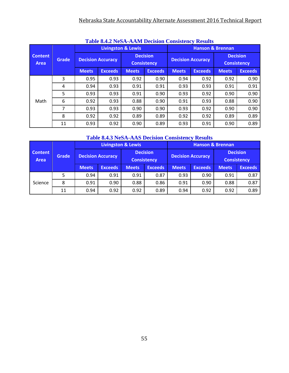### Nebraska State Accountability Alternate Assessment 2016 Technical Report

|                               |              |                          | <b>Table 6.4.2 INESA-AAM Decision Consistency Results</b> | <b>Livingston &amp; Lewis</b>         |                | <b>Hanson &amp; Brennan</b> |                          |                                       |                |  |  |
|-------------------------------|--------------|--------------------------|-----------------------------------------------------------|---------------------------------------|----------------|-----------------------------|--------------------------|---------------------------------------|----------------|--|--|
| <b>Content</b><br><b>Area</b> | <b>Grade</b> | <b>Decision Accuracy</b> |                                                           | <b>Decision</b><br><b>Consistency</b> |                |                             | <b>Decision Accuracy</b> | <b>Decision</b><br><b>Consistency</b> |                |  |  |
|                               |              | <b>Meets</b>             | <b>Exceeds</b>                                            | <b>Meets</b>                          | <b>Exceeds</b> | <b>Meets</b>                | <b>Exceeds</b>           | <b>Meets</b>                          | <b>Exceeds</b> |  |  |
|                               | 3            | 0.95                     | 0.93                                                      | 0.92                                  | 0.90           | 0.94                        | 0.92                     | 0.92                                  | 0.90           |  |  |
|                               | 4            | 0.94                     | 0.93                                                      | 0.91                                  | 0.91           | 0.93                        | 0.93                     | 0.91                                  | 0.91           |  |  |
|                               | 5            | 0.93                     | 0.93                                                      | 0.91                                  | 0.90           | 0.93                        | 0.92                     | 0.90                                  | 0.90           |  |  |
| Math                          | 6            | 0.92                     | 0.93                                                      | 0.88                                  | 0.90           | 0.91                        | 0.93                     | 0.88                                  | 0.90           |  |  |
|                               | 7            | 0.93                     | 0.93                                                      | 0.90                                  | 0.90           | 0.93                        | 0.92                     | 0.90                                  | 0.90           |  |  |
|                               | 8            | 0.92                     | 0.92                                                      | 0.89                                  | 0.89           | 0.92                        | 0.92                     | 0.89                                  | 0.89           |  |  |
|                               | 11           | 0.93                     | 0.92                                                      | 0.90                                  | 0.89           | 0.93                        | 0.91                     | 0.90                                  | 0.89           |  |  |

### **Table 8.4.2 NeSA-AAM Decision Consistency Results**

### **Table 8.4.3 NeSA-AAS Decision Consistency Results**

|                          |    |                          | <b>Livingston &amp; Lewis</b> |                                       |                | <b>Hanson &amp; Brennan</b> |                          |                                       |                |  |
|--------------------------|----|--------------------------|-------------------------------|---------------------------------------|----------------|-----------------------------|--------------------------|---------------------------------------|----------------|--|
| Content<br>Grade<br>Area |    | <b>Decision Accuracy</b> |                               | <b>Decision</b><br><b>Consistency</b> |                |                             | <b>Decision Accuracy</b> | <b>Decision</b><br><b>Consistency</b> |                |  |
|                          |    | <b>Meets</b>             | <b>Exceeds</b>                | <b>Meets</b>                          | <b>Exceeds</b> | <b>Meets</b>                | <b>Exceeds</b>           | <b>Meets</b>                          | <b>Exceeds</b> |  |
|                          | 5  | 0.94                     | 0.91                          | 0.91                                  | 0.87           | 0.93                        | 0.90                     | 0.91                                  | 0.87           |  |
| Science                  | 8  | 0.91                     | 0.90                          | 0.88                                  | 0.86           | 0.91<br>0.90                |                          | 0.88                                  | 0.87           |  |
|                          | 11 | 0.94                     | 0.92                          | 0.92                                  | 0.89           | 0.94                        | 0.92                     | 0.92                                  | 0.89           |  |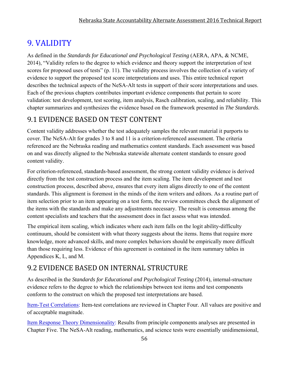### 9. VALIDITY

As defined in the *Standards for Educational and Psychological Testing* (AERA, APA, & NCME, 2014), "Validity refers to the degree to which evidence and theory support the interpretation of test scores for proposed uses of tests" (p. 11). The validity process involves the collection of a variety of evidence to support the proposed test score interpretations and uses. This entire technical report describes the technical aspects of the NeSA-Alt tests in support of their score interpretations and uses. Each of the previous chapters contributes important evidence components that pertain to score validation: test development, test scoring, item analysis, Rasch calibration, scaling, and reliability. This chapter summarizes and synthesizes the evidence based on the framework presented in *The Standards*.

### 9.1 EVIDENCE BASED ON TEST CONTENT

Content validity addresses whether the test adequately samples the relevant material it purports to cover. The NeSA-Alt for grades 3 to 8 and 11 is a criterion-referenced assessment. The criteria referenced are the Nebraska reading and mathematics content standards. Each assessment was based on and was directly aligned to the Nebraska statewide alternate content standards to ensure good content validity.

For criterion-referenced, standards-based assessment, the strong content validity evidence is derived directly from the test construction process and the item scaling. The item development and test construction process, described above, ensures that every item aligns directly to one of the content standards. This alignment is foremost in the minds of the item writers and editors. As a routine part of item selection prior to an item appearing on a test form, the review committees check the alignment of the items with the standards and make any adjustments necessary. The result is consensus among the content specialists and teachers that the assessment does in fact assess what was intended.

The empirical item scaling, which indicates where each item falls on the logit ability-difficulty continuum, should be consistent with what theory suggests about the items. Items that require more knowledge, more advanced skills, and more complex behaviors should be empirically more difficult than those requiring less. Evidence of this agreement is contained in the item summary tables in Appendices K, L, and M.

### 9.2 EVIDENCE BASED ON INTERNAL STRUCTURE

As described in the *Standards for Educational and Psychological Testing* (2014), internal-structure evidence refers to the degree to which the relationships between test items and test components conform to the construct on which the proposed test interpretations are based.

Item-Test Correlations: Item-test correlations are reviewed in Chapter Four. All values are positive and of acceptable magnitude.

Item Response Theory Dimensionality: Results from principle components analyses are presented in Chapter Five. The NeSA-Alt reading, mathematics, and science tests were essentially unidimensional,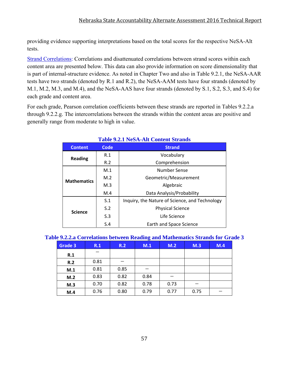providing evidence supporting interpretations based on the total scores for the respective NeSA-Alt tests.

Strand Correlations: Correlations and disattenuated correlations between strand scores within each content area are presented below. This data can also provide information on score dimensionality that is part of internal-structure evidence. As noted in Chapter Two and also in Table 9.2.1, the NeSA-AAR tests have two strands (denoted by R.1 and R.2), the NeSA-AAM tests have four strands (denoted by M.1, M.2, M.3, and M.4), and the NeSA-AAS have four strands (denoted by S.1, S.2, S.3, and S.4) for each grade and content area.

For each grade, Pearson correlation coefficients between these strands are reported in Tables 9.2.2.a through 9.2.2.g. The intercorrelations between the strands within the content areas are positive and generally range from moderate to high in value.

| <b>Content</b>     | Code | <b>Strand</b>                                  |  |  |  |  |  |
|--------------------|------|------------------------------------------------|--|--|--|--|--|
| <b>Reading</b>     | R.1  | Vocabulary                                     |  |  |  |  |  |
|                    | R.2  | Comprehension                                  |  |  |  |  |  |
|                    | M.1  | Number Sense                                   |  |  |  |  |  |
| <b>Mathematics</b> | M.2  | Geometric/Measurement                          |  |  |  |  |  |
|                    | M.3  | Algebraic                                      |  |  |  |  |  |
|                    | M.4  | Data Analysis/Probability                      |  |  |  |  |  |
|                    | S.1  | Inquiry, the Nature of Science, and Technology |  |  |  |  |  |
|                    | S.2  | <b>Physical Science</b>                        |  |  |  |  |  |
| <b>Science</b>     | S.3  | Life Science                                   |  |  |  |  |  |
|                    | S.4  | Earth and Space Science                        |  |  |  |  |  |

### **Table 9.2.1 NeSA-Alt Content Strands**

| Table 9.2.2.a Correlations between Reading and Mathematics Strands for Grade 3 |  |  |  |  |  |
|--------------------------------------------------------------------------------|--|--|--|--|--|
|                                                                                |  |  |  |  |  |

| Grade 3 | R.1  | R.2  | $\bullet$<br>M.1 | M.2  | M.3  | M.4 |
|---------|------|------|------------------|------|------|-----|
| R.1     |      |      |                  |      |      |     |
| R.2     | 0.81 |      |                  |      |      |     |
| M.1     | 0.81 | 0.85 |                  |      |      |     |
| M.2     | 0.83 | 0.82 | 0.84             |      |      |     |
| M.3     | 0.70 | 0.82 | 0.78             | 0.73 |      |     |
| M.4     | 0.76 | 0.80 | 0.79             | 0.77 | 0.75 |     |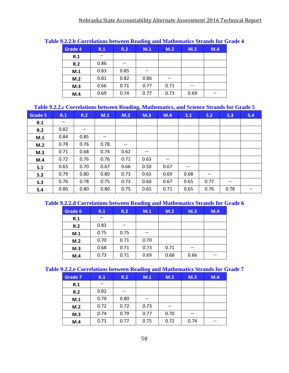|         |      |      | $\cdots$ |      |      |     |
|---------|------|------|----------|------|------|-----|
| Grade 4 | R.1  | R.2  | M.1      | M.2  | M.3  | M.4 |
| R.1     |      |      |          |      |      |     |
| R.2     | 0.86 |      |          |      |      |     |
| M.1     | 0.83 | 0.85 |          |      |      |     |
| M.2     | 0.81 | 0.82 | 0.86     |      |      |     |
| M.3     | 0.66 | 0.71 | 0.77     | 0.71 |      |     |
| M.4     | 0.69 | 0.74 | 0.77     | 0.73 | 0.69 |     |
|         |      |      |          |      |      |     |

#### **Table 9.2.2.b Correlations between Reading and Mathematics Strands for Grade 4**

#### **Table 9.2.2.c Correlations between Reading, Mathematics, and Science Strands for Grade 5**

| Grade 5 | R.1  | R.2  | M.1  | M.2  | ້<br>M.3 | $\sim$<br>M.4 | S.1  | S.2  | S.3  | S.4 |
|---------|------|------|------|------|----------|---------------|------|------|------|-----|
| R.1     | $-$  |      |      |      |          |               |      |      |      |     |
| R.2     | 0.82 |      |      |      |          |               |      |      |      |     |
| M.1     | 0.84 | 0.85 |      |      |          |               |      |      |      |     |
| M.2     | 0.78 | 0.76 | 0.78 |      |          |               |      |      |      |     |
| M.3     | 0.71 | 0.68 | 0.74 | 0.62 |          |               |      |      |      |     |
| M.4     | 0.72 | 0.76 | 0.76 | 0.71 | 0.63     |               |      |      |      |     |
| S.1     | 0.65 | 0.70 | 0.67 | 0.66 | 0.50     | 0.67          |      |      |      |     |
| S.2     | 0.79 | 0.80 | 0.80 | 0.73 | 0.65     | 0.69          | 0.68 |      |      |     |
| S.3     | 0.76 | 0.78 | 0.75 | 0.73 | 0.60     | 0.67          | 0.65 | 0.77 |      |     |
| S.4     | 0.80 | 0.80 | 0.80 | 0.75 | 0.65     | 0.71          | 0.65 | 0.76 | 0.78 | —   |

### **Table 9.2.2.d Correlations between Reading and Mathematics Strands for Grade 6**

| Grade 6 | R.1  | R.2  | M.1  | M.2  | M.3  | M.4 |
|---------|------|------|------|------|------|-----|
| R.1     |      |      |      |      |      |     |
| R.2     | 0.83 |      |      |      |      |     |
| M.1     | 0.75 | 0.75 |      |      |      |     |
| M.2     | 0.70 | 0.71 | 0.70 |      |      |     |
| M.3     | 0.68 | 0.71 | 0.73 | 0.71 |      |     |
| M.4     | 0.73 | 0.71 | 0.69 | 0.68 | 0.66 |     |

#### **Table 9.2.2.e Correlations between Reading and Mathematics Strands for Grade 7**

| <b>Grade 7</b> | R.1  | R.2  | M.1  | M.2  | M.3  | M.4 |
|----------------|------|------|------|------|------|-----|
| R.1            |      |      |      |      |      |     |
| R.2            | 0.82 |      |      |      |      |     |
| M.1            | 0.79 | 0.80 |      |      |      |     |
| M.2            | 0.72 | 0.72 | 0.73 |      |      |     |
| M.3            | 0.74 | 0.79 | 0.77 | 0.70 |      |     |
| M.4            | 0.73 | 0.77 | 0.75 | 0.72 | 0.74 |     |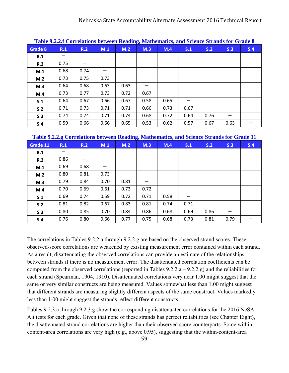|         | Table 7.2.2.1 Currelations between Reading, mathematics, and science strains for Graue o |      |      |      |      |      |      |      |      |     |  |  |
|---------|------------------------------------------------------------------------------------------|------|------|------|------|------|------|------|------|-----|--|--|
| Grade 8 | R.1                                                                                      | R.2  | M.1  | M.2  | M.3  | M.4  | S.1  | S.2  | S.3  | S.4 |  |  |
| R.1     |                                                                                          |      |      |      |      |      |      |      |      |     |  |  |
| R.2     | 0.75                                                                                     |      |      |      |      |      |      |      |      |     |  |  |
| M.1     | 0.68                                                                                     | 0.74 |      |      |      |      |      |      |      |     |  |  |
| M.2     | 0.73                                                                                     | 0.75 | 0.73 |      |      |      |      |      |      |     |  |  |
| M.3     | 0.64                                                                                     | 0.68 | 0.63 | 0.63 | –    |      |      |      |      |     |  |  |
| M.4     | 0.73                                                                                     | 0.77 | 0.73 | 0.72 | 0.67 |      |      |      |      |     |  |  |
| S.1     | 0.64                                                                                     | 0.67 | 0.66 | 0.67 | 0.58 | 0.65 | —    |      |      |     |  |  |
| S.2     | 0.71                                                                                     | 0.73 | 0.71 | 0.71 | 0.66 | 0.73 | 0.67 |      |      |     |  |  |
| S.3     | 0.74                                                                                     | 0.74 | 0.71 | 0.74 | 0.68 | 0.72 | 0.64 | 0.76 |      |     |  |  |
| S.4     | 0.59                                                                                     | 0.66 | 0.66 | 0.65 | 0.53 | 0.62 | 0.57 | 0.67 | 0.63 |     |  |  |

**Table 9.2.2.f Correlations between Reading, Mathematics, and Science Strands for Grade 8**

|  |  |  | Table 9.2.2.g Correlations between Reading, Mathematics, and Science Strands for Grade 11 |
|--|--|--|-------------------------------------------------------------------------------------------|
|--|--|--|-------------------------------------------------------------------------------------------|

| Grade 11 | R.1                      | R.2  | M.1  | M.2  | M.3  | M.4  | S.1  | S.2  | S.3  | S.4 |
|----------|--------------------------|------|------|------|------|------|------|------|------|-----|
| R.1      | $\overline{\phantom{0}}$ |      |      |      |      |      |      |      |      |     |
| R.2      | 0.86                     |      |      |      |      |      |      |      |      |     |
| M.1      | 0.69                     | 0.68 |      |      |      |      |      |      |      |     |
| M.2      | 0.80                     | 0.81 | 0.73 | —    |      |      |      |      |      |     |
| M.3      | 0.79                     | 0.84 | 0.70 | 0.81 |      |      |      |      |      |     |
| M.4      | 0.70                     | 0.69 | 0.61 | 0.73 | 0.72 |      |      |      |      |     |
| S.1      | 0.69                     | 0.74 | 0.59 | 0.72 | 0.71 | 0.58 |      |      |      |     |
| S.2      | 0.81                     | 0.82 | 0.67 | 0.83 | 0.81 | 0.74 | 0.71 |      |      |     |
| S.3      | 0.80                     | 0.85 | 0.70 | 0.84 | 0.86 | 0.68 | 0.69 | 0.86 |      |     |
| S.4      | 0.76                     | 0.80 | 0.66 | 0.77 | 0.75 | 0.68 | 0.73 | 0.81 | 0.79 |     |

The correlations in Tables 9.2.2.a through 9.2.2.g are based on the observed strand scores. These observed-score correlations are weakened by existing measurement error contained within each strand. As a result, disattenuating the observed correlations can provide an estimate of the relationships between strands if there is no measurement error. The disattenuated correlation coefficients can be computed from the observed correlations (reported in Tables 9.2.2.a – 9.2.2.g) and the reliabilities for each strand (Spearman, 1904, 1910). Disattenuated correlations very near 1.00 might suggest that the same or very similar constructs are being measured. Values somewhat less than 1.00 might suggest that different strands are measuring slightly different aspects of the same construct. Values markedly less than 1.00 might suggest the strands reflect different constructs.

Tables 9.2.3.a through 9.2.3.g show the corresponding disattenuated correlations for the 2016 NeSA-Alt tests for each grade. Given that none of these strands has perfect reliabilities (see Chapter Eight), the disattenuated strand correlations are higher than their observed score counterparts. Some withincontent-area correlations are very high (e.g., above 0.95), suggesting that the within-content-area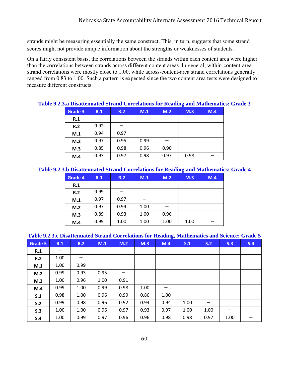strands might be measuring essentially the same construct. This, in turn, suggests that some strand scores might not provide unique information about the strengths or weaknesses of students.

On a fairly consistent basis, the correlations between the strands within each content area were higher than the correlations between strands across different content areas. In general, within-content-area strand correlations were mostly close to 1.00, while across-content-area strand correlations generally ranged from 0.83 to 1.00. Such a pattern is expected since the two content area tests were designed to measure different constructs.

| <i>rassa Disaltendaled Su</i> and Correlations for Keauing and Mathematics. |      |      |      |      |      |     |
|-----------------------------------------------------------------------------|------|------|------|------|------|-----|
| Grade 3                                                                     | R.1  | R.2  | M.1  | M.2  | M.3  | M.4 |
| R.1                                                                         |      |      |      |      |      |     |
| R.2                                                                         | 0.92 |      |      |      |      |     |
| M.1                                                                         | 0.94 | 0.97 |      |      |      |     |
| M.2                                                                         | 0.97 | 0.95 | 0.99 |      |      |     |
| M.3                                                                         | 0.85 | 0.98 | 0.96 | 0.90 |      |     |
| M.4                                                                         | 0.93 | 0.97 | 0.98 | 0.97 | 0.98 |     |
|                                                                             |      |      |      |      |      |     |

#### **Table 9.2.3.a Disattenuated Strand Correlations for Reading and Mathematics: Grade 3**

#### **Table 9.2.3.b Disattenuated Strand Correlations for Reading and Mathematics: Grade 4**

| Grade 4 | R.1  | R.2<br>M.1 |      | M.2  | M.3  | M.4 |
|---------|------|------------|------|------|------|-----|
| R.1     |      |            |      |      |      |     |
| R.2     | 0.99 |            |      |      |      |     |
| M.1     | 0.97 | 0.97       |      |      |      |     |
| M.2     | 0.97 | 0.94       | 1.00 |      |      |     |
| M.3     | 0.89 | 0.93       | 1.00 | 0.96 |      |     |
| M.4     | 0.99 | 1.00       | 1.00 | 1.00 | 1.00 |     |

#### **Table 9.2.3.c Disattenuated Strand Correlations for Reading, Mathematics and Science: Grade 5**

| <b>Grade 5</b> | R.1  | R.2  | M.1  | M.2  | M.3  | M.4  | S.1  | S.2  | S.3  | S.4 |
|----------------|------|------|------|------|------|------|------|------|------|-----|
| R.1            |      |      |      |      |      |      |      |      |      |     |
| R.2            | 1.00 |      |      |      |      |      |      |      |      |     |
| M.1            | 1.00 | 0.99 |      |      |      |      |      |      |      |     |
| M.2            | 0.99 | 0.93 | 0.95 |      |      |      |      |      |      |     |
| M.3            | 1.00 | 0.96 | 1.00 | 0.91 |      |      |      |      |      |     |
| M.4            | 0.99 | 1.00 | 0.99 | 0.98 | 1.00 | —    |      |      |      |     |
| S.1            | 0.98 | 1.00 | 0.96 | 0.99 | 0.86 | 1.00 | –    |      |      |     |
| S.2            | 0.99 | 0.98 | 0.96 | 0.92 | 0.94 | 0.94 | 1.00 | —    |      |     |
| S.3            | 1.00 | 1.00 | 0.96 | 0.97 | 0.93 | 0.97 | 1.00 | 1.00 |      |     |
| S.4            | 1.00 | 0.99 | 0.97 | 0.96 | 0.96 | 0.98 | 0.98 | 0.97 | 1.00 |     |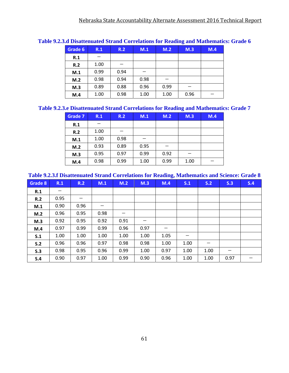|         |      |      |      |      | 0    |     |
|---------|------|------|------|------|------|-----|
| Grade 6 | R.1  | R.2  | M.1  | M.2  | M.3  | M.4 |
| R.1     |      |      |      |      |      |     |
| R.2     | 1.00 |      |      |      |      |     |
| M.1     | 0.99 | 0.94 |      |      |      |     |
| M.2     | 0.98 | 0.94 | 0.98 |      |      |     |
| M.3     | 0.89 | 0.88 | 0.96 | 0.99 |      |     |
| M.4     | 1.00 | 0.98 | 1.00 | 1.00 | 0.96 |     |

#### **Table 9.2.3.d Disattenuated Strand Correlations for Reading and Mathematics: Grade 6**

#### **Table 9.2.3.e Disattenuated Strand Correlations for Reading and Mathematics: Grade 7**

| <b>Grade 7</b> | R.1  | R.2<br>M.1 |      | M.2  | M.3  | M.4 |
|----------------|------|------------|------|------|------|-----|
| R.1            |      |            |      |      |      |     |
| R.2            | 1.00 |            |      |      |      |     |
| M.1            | 1.00 | 0.98       |      |      |      |     |
| M.2            | 0.93 | 0.89       | 0.95 |      |      |     |
| M.3            | 0.95 | 0.97       | 0.99 | 0.92 |      |     |
| M.4            | 0.98 | 0.99       | 1.00 | 0.99 | 1.00 |     |

#### **Table 9.2.3.f Disattenuated Strand Correlations for Reading, Mathematics and Science: Grade 8**

| Grade 8 | R.1  | R.2                      | M.1  | M.2  | M.3                      | M.4  | S.1  | S.2  | S.3  | S.4 |
|---------|------|--------------------------|------|------|--------------------------|------|------|------|------|-----|
| R.1     |      |                          |      |      |                          |      |      |      |      |     |
| R.2     | 0.95 | $\overline{\phantom{m}}$ |      |      |                          |      |      |      |      |     |
| M.1     | 0.90 | 0.96                     |      |      |                          |      |      |      |      |     |
| M.2     | 0.96 | 0.95                     | 0.98 |      |                          |      |      |      |      |     |
| M.3     | 0.92 | 0.95                     | 0.92 | 0.91 | $\overline{\phantom{0}}$ |      |      |      |      |     |
| M.4     | 0.97 | 0.99                     | 0.99 | 0.96 | 0.97                     |      |      |      |      |     |
| S.1     | 1.00 | 1.00                     | 1.00 | 1.00 | 1.00                     | 1.05 |      |      |      |     |
| S.2     | 0.96 | 0.96                     | 0.97 | 0.98 | 0.98                     | 1.00 | 1.00 | —    |      |     |
| S.3     | 0.98 | 0.95                     | 0.96 | 0.99 | 1.00                     | 0.97 | 1.00 | 1.00 |      |     |
| S.4     | 0.90 | 0.97                     | 1.00 | 0.99 | 0.90                     | 0.96 | 1.00 | 1.00 | 0.97 |     |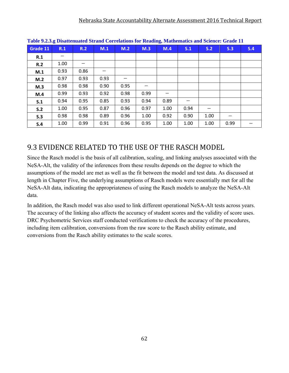|          | Table <i>rang</i> Disattendaru birang corruations for ruading, mathematics and science, Grade II |      |      |      |      |      |                                |      |      |     |  |
|----------|--------------------------------------------------------------------------------------------------|------|------|------|------|------|--------------------------------|------|------|-----|--|
| Grade 11 | R.1                                                                                              | R.2  | M.1  | M.2  | M.3  | M.4  | S.1                            | S.2  | S.3  | S.4 |  |
| R.1      |                                                                                                  |      |      |      |      |      |                                |      |      |     |  |
| R.2      | 1.00                                                                                             |      |      |      |      |      |                                |      |      |     |  |
| M.1      | 0.93                                                                                             | 0.86 |      |      |      |      |                                |      |      |     |  |
| M.2      | 0.97                                                                                             | 0.93 | 0.93 |      |      |      |                                |      |      |     |  |
| M.3      | 0.98                                                                                             | 0.98 | 0.90 | 0.95 |      |      |                                |      |      |     |  |
| M.4      | 0.99                                                                                             | 0.93 | 0.92 | 0.98 | 0.99 |      |                                |      |      |     |  |
| S.1      | 0.94                                                                                             | 0.95 | 0.85 | 0.93 | 0.94 | 0.89 | $\qquad \qquad \longleftarrow$ |      |      |     |  |
| S.2      | 1.00                                                                                             | 0.95 | 0.87 | 0.96 | 0.97 | 1.00 | 0.94                           |      |      |     |  |
| S.3      | 0.98                                                                                             | 0.98 | 0.89 | 0.96 | 1.00 | 0.92 | 0.90                           | 1.00 |      |     |  |
| S.4      | 1.00                                                                                             | 0.99 | 0.91 | 0.96 | 0.95 | 1.00 | 1.00                           | 1.00 | 0.99 |     |  |

**Table 9.2.3.g Disattenuated Strand Correlations for Reading, Mathematics and Science: Grade 11** 

### 9.3 EVIDENCE RELATED TO THE USE OF THE RASCH MODEL

Since the Rasch model is the basis of all calibration, scaling, and linking analyses associated with the NeSA-Alt, the validity of the inferences from these results depends on the degree to which the assumptions of the model are met as well as the fit between the model and test data. As discussed at length in Chapter Five, the underlying assumptions of Rasch models were essentially met for all the NeSA-Alt data, indicating the appropriateness of using the Rasch models to analyze the NeSA-Alt data.

In addition, the Rasch model was also used to link different operational NeSA-Alt tests across years. The accuracy of the linking also affects the accuracy of student scores and the validity of score uses. DRC Psychometric Services staff conducted verifications to check the accuracy of the procedures, including item calibration, conversions from the raw score to the Rasch ability estimate, and conversions from the Rasch ability estimates to the scale scores.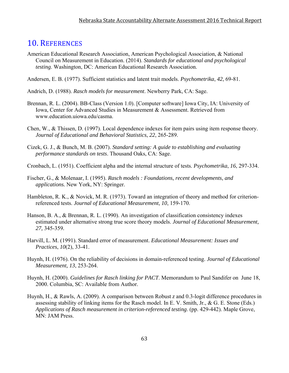### 10. REFERENCES

- American Educational Research Association, American Psychological Association, & National Council on Measurement in Education. (2014). *Standards for educational and psychological testing*. Washington, DC: American Educational Research Association.
- Andersen, E. B. (1977). Sufficient statistics and latent trait models. *Psychometrika*, *42*, 69-81.
- Andrich, D. (1988). *Rasch models for measurement*. Newberry Park, CA: Sage.
- Brennan, R. L. (2004). BB-Class (Version 1.0). [Computer software] Iowa City, IA: University of Iowa, Center for Advanced Studies in Measurement & Assessment. Retrieved from www.education.uiowa.edu/casma.
- Chen, W., & Thissen, D. (1997). Local dependence indexes for item pairs using item response theory. *Journal of Educational and Behavioral Statistics*, *22*, 265-289.
- Cizek, G. J., & Bunch, M. B. (2007). *Standard setting: A guide to establishing and evaluating performance standards on tests*. Thousand Oaks, CA: Sage.
- Cronbach, L. (1951). Coefficient alpha and the internal structure of tests. *Psychometrika*, *16*, 297-334.
- Fischer, G., & Molenaar, I. (1995). *Rasch models : Foundations, recent developments, and applications.* New York, NY: Springer.
- Hambleton, R. K., & Novick, M. R. (1973). Toward an integration of theory and method for criterionreferenced tests. *Journal of Educational Measurement*, *10*, 159-170.
- Hanson, B. A., & Brennan, R. L. (1990). An investigation of classification consistency indexes estimated under alternative strong true score theory models. *Journal of Educational Measurement, 27,* 345-359*.*
- Harvill, L. M. (1991). Standard error of measurement. *Educational Measurement: Issues and Practices*, *10*(2), 33-41.
- Huynh, H. (1976). On the reliability of decisions in domain-referenced testing. *Journal of Educational Measurement, 13*, 253-264.
- Huynh, H. (2000). *Guidelines for Rasch linking for PACT*. Memorandum to Paul Sandifer on June 18, 2000. Columbia, SC: Available from Author.
- Huynh, H., & Rawls, A. (2009). A comparison between Robust *z* and 0.3-logit difference procedures in assessing stability of linking items for the Rasch model. In E. V. Smith, Jr., & G. E. Stone (Eds.) *Applications of Rasch measurement in criterion-referenced testing*. (pp. 429-442). Maple Grove, MN: JAM Press.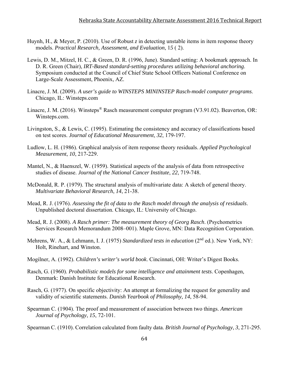- Huynh, H., & Meyer, P. (2010). Use of Robust *z* in detecting unstable items in item response theory models. *Practical Research, Assessment, and Evaluation*, 1*5* ( 2).
- Lewis, D. M., Mitzel, H. C., & Green, D. R. (1996, June). Standard setting: A bookmark approach. In D. R. Green (Chair), *IRT-Based standard-setting procedures utilizing behavioral anchoring*. Symposium conducted at the Council of Chief State School Officers National Conference on Large-Scale Assessment, Phoenix, AZ.
- Linacre, J. M. (2009). *A user's guide to WINSTEPS MININSTEP Rasch-model computer programs*. Chicago, IL: Winsteps.com
- Linacre, J. M. (2016). Winsteps<sup>®</sup> Rasch measurement computer program (V3.91.02). Beaverton, OR: Winsteps.com.
- Livingston, S., & Lewis, C. (1995). Estimating the consistency and accuracy of classifications based on test scores. *Journal of Educational Measurement*, *32*, 179-197.
- Ludlow, L. H. (1986). Graphical analysis of item response theory residuals. *Applied Psychological Measurement*, *10*, 217-229.
- Mantel, N., & Haenszel, W. (1959). Statistical aspects of the analysis of data from retrospective studies of disease. *Journal of the National Cancer Institute*, *22*, 719-748.
- McDonald, R. P. (1979). The structural analysis of multivariate data: A sketch of general theory. *Multivariate Behavioral Research*, *14*, 21-38.
- Mead, R. J. (1976). *Assessing the fit of data to the Rasch model through the analysis of residuals*. Unpublished doctoral dissertation. Chicago, IL: University of Chicago.
- Mead, R. J. (2008). *A Rasch primer: The measurement theory of Georg Rasch*. (Psychometrics Services Research Memorandum 2008–001). Maple Grove, MN: Data Recognition Corporation.
- Mehrens, W. A., & Lehmann, I. J. (1975) *Standardized tests in education* (2<sup>nd</sup> ed.). New York, NY: Holt, Rinehart, and Winston.
- Mogilner, A. (1992). *Children's writer's world book*. Cincinnati, OH: Writer's Digest Books.
- Rasch, G. (1960). *Probabilistic models for some intelligence and attainment tests*. Copenhagen, Denmark: Danish Institute for Educational Research.
- Rasch, G. (1977). On specific objectivity: An attempt at formalizing the request for generality and validity of scientific statements. *Danish Yearbook of Philosophy, 14*, 58-94.
- Spearman C. (1904). The proof and measurement of association between two things. *American Journal of Psychology*, *15*, 72-101.
- Spearman C. (1910). Correlation calculated from faulty data. *British Journal of Psychology*, *3*, 271-295.